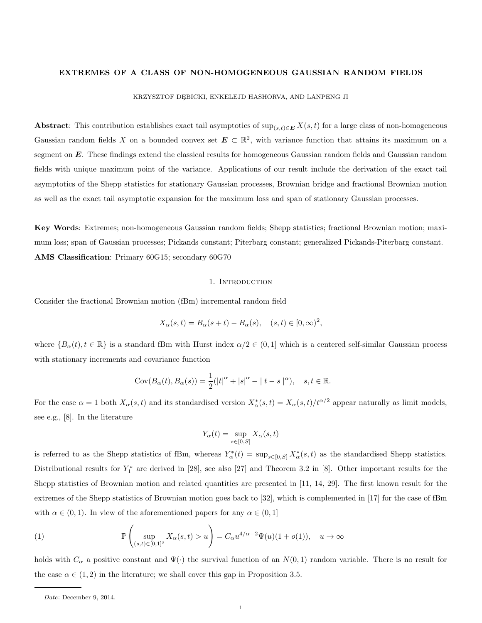### EXTREMES OF A CLASS OF NON-HOMOGENEOUS GAUSSIAN RANDOM FIELDS

KRZYSZTOF DĘBICKI, ENKELEJD HASHORVA, AND LANPENG JI

Abstract: This contribution establishes exact tail asymptotics of  $\sup_{(s,t)\in E} X(s,t)$  for a large class of non-homogeneous Gaussian random fields X on a bounded convex set  $E \subset \mathbb{R}^2$ , with variance function that attains its maximum on a segment on E. These findings extend the classical results for homogeneous Gaussian random fields and Gaussian random fields with unique maximum point of the variance. Applications of our result include the derivation of the exact tail asymptotics of the Shepp statistics for stationary Gaussian processes, Brownian bridge and fractional Brownian motion as well as the exact tail asymptotic expansion for the maximum loss and span of stationary Gaussian processes.

Key Words: Extremes; non-homogeneous Gaussian random fields; Shepp statistics; fractional Brownian motion; maximum loss; span of Gaussian processes; Pickands constant; Piterbarg constant; generalized Pickands-Piterbarg constant. AMS Classification: Primary 60G15; secondary 60G70

#### 1. INTRODUCTION

Consider the fractional Brownian motion (fBm) incremental random field

$$
X_{\alpha}(s,t) = B_{\alpha}(s+t) - B_{\alpha}(s), \quad (s,t) \in [0,\infty)^2,
$$

where  ${B_{\alpha}(t), t \in \mathbb{R}}$  is a standard fBm with Hurst index  $\alpha/2 \in (0,1]$  which is a centered self-similar Gaussian process with stationary increments and covariance function

$$
Cov(B_{\alpha}(t), B_{\alpha}(s)) = \frac{1}{2}(|t|^{\alpha} + |s|^{\alpha} - |t - s|^{\alpha}), \quad s, t \in \mathbb{R}.
$$

For the case  $\alpha = 1$  both  $X_{\alpha}(s,t)$  and its standardised version  $X_{\alpha}^{*}(s,t) = X_{\alpha}(s,t)/t^{\alpha/2}$  appear naturally as limit models, see e.g., [8]. In the literature

$$
Y_{\alpha}(t) = \sup_{s \in [0,S]} X_{\alpha}(s,t)
$$

is referred to as the Shepp statistics of fBm, whereas  $Y_{\alpha}^*(t) = \sup_{s \in [0,S]} X_{\alpha}^*(s,t)$  as the standardised Shepp statistics. Distributional results for  $Y_1^*$  are derived in [28], see also [27] and Theorem 3.2 in [8]. Other important results for the Shepp statistics of Brownian motion and related quantities are presented in [11, 14, 29]. The first known result for the extremes of the Shepp statistics of Brownian motion goes back to [32], which is complemented in [17] for the case of fBm with  $\alpha \in (0,1)$ . In view of the aforementioned papers for any  $\alpha \in (0,1]$ 

(1) 
$$
\mathbb{P}\left(\sup_{(s,t)\in[0,1]^2} X_{\alpha}(s,t) > u\right) = C_{\alpha} u^{4/\alpha - 2} \Psi(u) (1+o(1)), \quad u \to \infty
$$

holds with  $C_{\alpha}$  a positive constant and  $\Psi(\cdot)$  the survival function of an  $N(0, 1)$  random variable. There is no result for the case  $\alpha \in (1, 2)$  in the literature; we shall cover this gap in Proposition 3.5.

Date: December 9, 2014.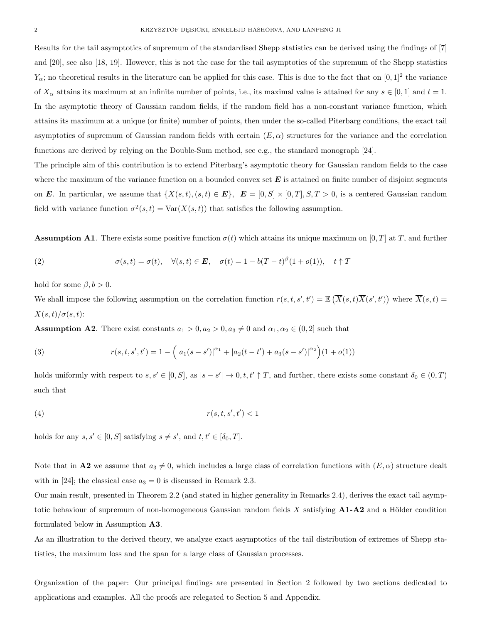Results for the tail asymptotics of supremum of the standardised Shepp statistics can be derived using the findings of [7] and [20], see also [18, 19]. However, this is not the case for the tail asymptotics of the supremum of the Shepp statistics  $Y_{\alpha}$ ; no theoretical results in the literature can be applied for this case. This is due to the fact that on  $[0,1]^2$  the variance of  $X_\alpha$  attains its maximum at an infinite number of points, i.e., its maximal value is attained for any  $s \in [0,1]$  and  $t = 1$ . In the asymptotic theory of Gaussian random fields, if the random field has a non-constant variance function, which attains its maximum at a unique (or finite) number of points, then under the so-called Piterbarg conditions, the exact tail asymptotics of supremum of Gaussian random fields with certain  $(E, \alpha)$  structures for the variance and the correlation functions are derived by relying on the Double-Sum method, see e.g., the standard monograph [24].

The principle aim of this contribution is to extend Piterbarg's asymptotic theory for Gaussian random fields to the case where the maximum of the variance function on a bounded convex set  $E$  is attained on finite number of disjoint segments on E. In particular, we assume that  $\{X(s,t), (s,t) \in E\}$ ,  $E = [0, S] \times [0, T], S, T > 0$ , is a centered Gaussian random field with variance function  $\sigma^2(s,t) = \text{Var}(X(s,t))$  that satisfies the following assumption.

**Assumption A1.** There exists some positive function  $\sigma(t)$  which attains its unique maximum on [0, T] at T, and further

(2) 
$$
\sigma(s,t) = \sigma(t), \quad \forall (s,t) \in E, \quad \sigma(t) = 1 - b(T-t)^{\beta}(1+o(1)), \quad t \uparrow T
$$

hold for some  $\beta, b > 0$ .

We shall impose the following assumption on the correlation function  $r(s,t,s',t') = \mathbb{E}(\overline{X}(s,t)\overline{X}(s',t'))$  where  $\overline{X}(s,t)$  $X(s,t)/\sigma(s,t)$ :

**Assumption A2**. There exist constants  $a_1 > 0, a_2 > 0, a_3 \neq 0$  and  $\alpha_1, \alpha_2 \in (0, 2]$  such that

(3) 
$$
r(s, t, s', t') = 1 - (|a_1(s - s')|^{\alpha_1} + |a_2(t - t') + a_3(s - s')|^{\alpha_2})(1 + o(1))
$$

holds uniformly with respect to  $s, s' \in [0, S]$ , as  $|s - s'| \to 0, t, t' \uparrow T$ , and further, there exists some constant  $\delta_0 \in (0, T)$ such that

$$
(4) \t\t\t r(s,t,s',t') < 1
$$

holds for any  $s, s' \in [0, S]$  satisfying  $s \neq s'$ , and  $t, t' \in [\delta_0, T]$ .

Note that in **A2** we assume that  $a_3 \neq 0$ , which includes a large class of correlation functions with  $(E, \alpha)$  structure dealt with in [24]; the classical case  $a_3 = 0$  is discussed in Remark 2.3.

Our main result, presented in Theorem 2.2 (and stated in higher generality in Remarks 2.4), derives the exact tail asymptotic behaviour of supremum of non-homogeneous Gaussian random fields  $X$  satisfying  $A1-A2$  and a Hölder condition formulated below in Assumption A3.

As an illustration to the derived theory, we analyze exact asymptotics of the tail distribution of extremes of Shepp statistics, the maximum loss and the span for a large class of Gaussian processes.

Organization of the paper: Our principal findings are presented in Section 2 followed by two sections dedicated to applications and examples. All the proofs are relegated to Section 5 and Appendix.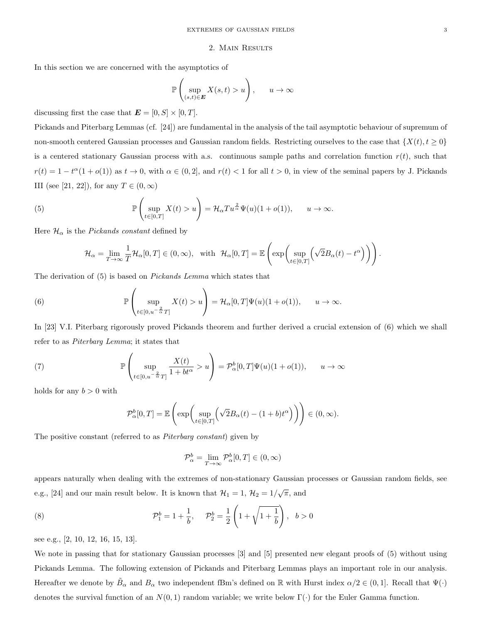#### 2. Main Results

In this section we are concerned with the asymptotics of

$$
\mathbb{P}\left(\sup_{(s,t)\in\mathbf{E}} X(s,t) > u\right), \qquad u \to \infty
$$

discussing first the case that  $\mathbf{E} = [0, S] \times [0, T]$ .

Pickands and Piterbarg Lemmas (cf. [24]) are fundamental in the analysis of the tail asymptotic behaviour of supremum of non-smooth centered Gaussian processes and Gaussian random fields. Restricting ourselves to the case that  $\{X(t), t \geq 0\}$ is a centered stationary Gaussian process with a.s. continuous sample paths and correlation function  $r(t)$ , such that  $r(t) = 1 - t^{\alpha}(1 + o(1))$  as  $t \to 0$ , with  $\alpha \in (0, 2]$ , and  $r(t) < 1$  for all  $t > 0$ , in view of the seminal papers by J. Pickands III (see [21, 22]), for any  $T \in (0, \infty)$ 

(5) 
$$
\mathbb{P}\left(\sup_{t\in[0,T]}X(t)>u\right)=\mathcal{H}_{\alpha}Tu^{\frac{2}{\alpha}}\Psi(u)(1+o(1)), \qquad u\to\infty.
$$

Here  $\mathcal{H}_{\alpha}$  is the *Pickands constant* defined by

$$
\mathcal{H}_{\alpha} = \lim_{T \to \infty} \frac{1}{T} \mathcal{H}_{\alpha}[0, T] \in (0, \infty), \text{ with } \mathcal{H}_{\alpha}[0, T] = \mathbb{E}\left(\exp\left(\sup_{t \in [0, T]} \left(\sqrt{2}B_{\alpha}(t) - t^{\alpha}\right)\right)\right).
$$

The derivation of (5) is based on Pickands Lemma which states that

(6) 
$$
\mathbb{P}\left(\sup_{t\in[0,u^{-\frac{2}{\alpha}}T]}X(t)>u\right)=\mathcal{H}_{\alpha}[0,T]\Psi(u)(1+o(1)), \quad u\to\infty.
$$

In [23] V.I. Piterbarg rigorously proved Pickands theorem and further derived a crucial extension of (6) which we shall refer to as Piterbarg Lemma; it states that

(7) 
$$
\mathbb{P}\left(\sup_{t\in[0,u^{-\frac{2}{\alpha}}T]} \frac{X(t)}{1+bt^{\alpha}} > u\right) = \mathcal{P}_{\alpha}^{b}[0,T]\Psi(u)(1+o(1)), \quad u \to \infty
$$

holds for any  $b > 0$  with

$$
\mathcal{P}_{\alpha}^{b}[0,T] = \mathbb{E}\left(\exp\left(\sup_{t \in [0,T]} \left(\sqrt{2}B_{\alpha}(t) - (1+b)t^{\alpha}\right)\right)\right) \in (0,\infty).
$$

The positive constant (referred to as Piterbarg constant) given by

$$
\mathcal{P}_{\alpha}^{b} = \lim_{T \to \infty} \mathcal{P}_{\alpha}^{b}[0, T] \in (0, \infty)
$$

appears naturally when dealing with the extremes of non-stationary Gaussian processes or Gaussian random fields, see e.g., [24] and our main result below. It is known that  $\mathcal{H}_1 = 1$ ,  $\mathcal{H}_2 = 1/\sqrt{\pi}$ , and

(8) 
$$
\mathcal{P}_1^b = 1 + \frac{1}{b}, \quad \mathcal{P}_2^b = \frac{1}{2} \left( 1 + \sqrt{1 + \frac{1}{b}} \right), \quad b > 0
$$

see e.g., [2, 10, 12, 16, 15, 13].

We note in passing that for stationary Gaussian processes [3] and [5] presented new elegant proofs of (5) without using Pickands Lemma. The following extension of Pickands and Piterbarg Lemmas plays an important role in our analysis. Hereafter we denote by  $\tilde{B}_{\alpha}$  and  $B_{\alpha}$  two independent fBm's defined on R with Hurst index  $\alpha/2 \in (0,1]$ . Recall that  $\Psi(\cdot)$ denotes the survival function of an  $N(0, 1)$  random variable; we write below  $\Gamma(\cdot)$  for the Euler Gamma function.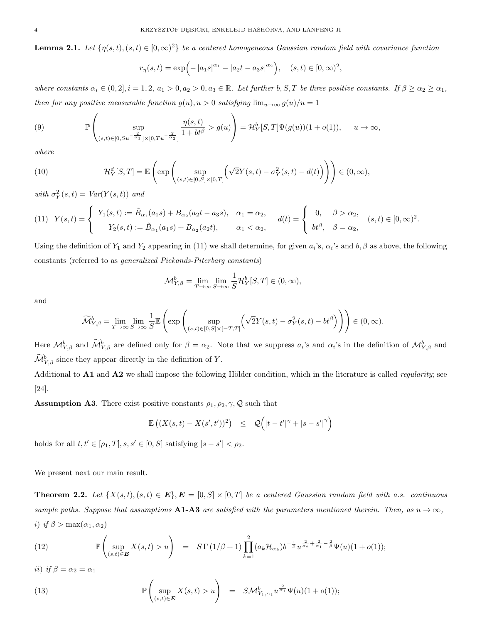**Lemma 2.1.** Let  $\{\eta(s,t), (s,t) \in [0,\infty)^2\}$  be a centered homogeneous Gaussian random field with covariance function

$$
r_{\eta}(s,t) = \exp\left(-|a_1s|^{\alpha_1} - |a_2t - a_3s|^{\alpha_2}\right), \quad (s,t) \in [0,\infty)^2,
$$

where constants  $\alpha_i \in (0,2], i = 1,2, a_1 > 0, a_2 > 0, a_3 \in \mathbb{R}$ . Let further b, S, T be three positive constants. If  $\beta \geq \alpha_2 \geq \alpha_1$ , then for any positive measurable function  $g(u)$ ,  $u > 0$  satisfying  $\lim_{u \to \infty} g(u)/u = 1$ 

(9) 
$$
\mathbb{P}\left(\sup_{(s,t)\in[0,S_u^{-\frac{2}{\alpha_1}}]\times[0,T_u^{-\frac{2}{\alpha_2}}]} \frac{\eta(s,t)}{1+bt^{\beta}} > g(u)\right) = \mathcal{H}_Y^b[S,T]\Psi(g(u))(1+o(1)), \quad u \to \infty,
$$

where

(10) 
$$
\mathcal{H}_Y^d[S,T] = \mathbb{E}\left(\exp\left(\sup_{(s,t)\in[0,S]\times[0,T]}\left(\sqrt{2}Y(s,t)-\sigma_Y^2(s,t)-d(t)\right)\right)\right) \in (0,\infty),
$$

with  $\sigma_Y^2(s,t) = Var(Y(s,t))$  and

$$
(11) \quad Y(s,t) = \begin{cases} Y_1(s,t) := \tilde{B}_{\alpha_1}(a_1s) + B_{\alpha_2}(a_2t - a_3s), & \alpha_1 = \alpha_2, \\ Y_2(s,t) := \tilde{B}_{\alpha_1}(a_1s) + B_{\alpha_2}(a_2t), & \alpha_1 < \alpha_2, \end{cases} \quad d(t) = \begin{cases} 0, & \beta > \alpha_2, \\ bt^{\beta}, & \beta = \alpha_2, \end{cases} (s,t) \in [0,\infty)^2.
$$

Using the definition of  $Y_1$  and  $Y_2$  appearing in (11) we shall determine, for given  $a_i$ 's,  $\alpha_i$ 's and  $b, \beta$  as above, the following constants (referred to as generalized Pickands-Piterbarg constants)

$$
\mathcal{M}_{Y,\beta}^b = \lim_{T \to \infty} \lim_{S \to \infty} \frac{1}{S} \mathcal{H}_Y^b[S,T] \in (0,\infty),
$$

and

$$
\widetilde{\mathcal{M}}_{Y,\beta}^b = \lim_{T \to \infty} \lim_{S \to \infty} \frac{1}{S} \mathbb{E} \left( \exp \left( \sup_{(s,t) \in [0,S] \times [-T,T]} \left( \sqrt{2} Y(s,t) - \sigma_Y^2(s,t) - bt^{\beta} \right) \right) \right) \in (0,\infty).
$$

Here  $\mathcal{M}_{Y,\beta}^b$  and  $\mathcal{M}_{Y,\beta}^b$  are defined only for  $\beta = \alpha_2$ . Note that we suppress  $a_i$ 's and  $\alpha_i$ 's in the definition of  $\mathcal{M}_{Y,\beta}^b$  and  $\widetilde{\mathcal{M}}_{Y,\beta}^b$  since they appear directly in the definition of Y.

Additional to  $A1$  and  $A2$  we shall impose the following Hölder condition, which in the literature is called *regularity*; see [24].

**Assumption A3.** There exist positive constants  $\rho_1, \rho_2, \gamma, \mathcal{Q}$  such that

$$
\mathbb{E}\left( (X(s,t) - X(s',t'))^2 \right) \leq \mathcal{Q}\left( |t-t'|^{\gamma} + |s-s'|^{\gamma} \right)
$$

holds for all  $t, t' \in [\rho_1, T], s, s' \in [0, S]$  satisfying  $|s - s'| < \rho_2$ .

We present next our main result.

**Theorem 2.2.** Let  $\{X(s,t), (s,t) \in E\}$ ,  $E = [0, S] \times [0, T]$  be a centered Gaussian random field with a.s. continuous sample paths. Suppose that assumptions A1-A3 are satisfied with the parameters mentioned therein. Then, as  $u \to \infty$ , i) if  $\beta > \max(\alpha_1, \alpha_2)$ 

(12) 
$$
\mathbb{P}\left(\sup_{(s,t)\in E} X(s,t) > u\right) = S\Gamma(1/\beta+1) \prod_{k=1}^{2} (a_k \mathcal{H}_{\alpha_k}) b^{-\frac{1}{\beta}} u^{\frac{2}{\alpha_2} + \frac{2}{\alpha_1} - \frac{2}{\beta}} \Psi(u) (1+o(1));
$$

ii) if  $\beta = \alpha_2 = \alpha_1$ 

(13) 
$$
\mathbb{P}\left(\sup_{(s,t)\in\mathbf{E}} X(s,t) > u\right) = S\mathcal{M}_{Y_1,\alpha_1}^b u^{\frac{2}{\alpha_1}} \Psi(u)(1+o(1));
$$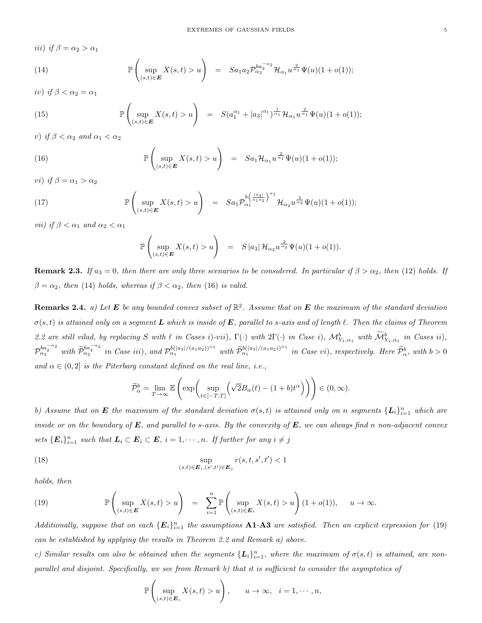iii) if  $\beta = \alpha_2 > \alpha_1$ 

(14) 
$$
\mathbb{P}\left(\sup_{(s,t)\in E} X(s,t) > u\right) = S a_1 a_2 \mathcal{P}_{\alpha_2}^{b a_2^{-\alpha_2}} \mathcal{H}_{\alpha_1} u^{\frac{2}{\alpha_1}} \Psi(u) (1+o(1));
$$

iv) if  $\beta < \alpha_2 = \alpha_1$ 

(15) 
$$
\mathbb{P}\left(\sup_{(s,t)\in E} X(s,t) > u\right) = S(a_1^{\alpha_1} + |a_3|^{\alpha_1})^{\frac{1}{\alpha_1}} \mathcal{H}_{\alpha_1} u^{\frac{2}{\alpha_1}} \Psi(u) (1+o(1));
$$

v) if  $\beta < \alpha_2$  and  $\alpha_1 < \alpha_2$ 

(16) 
$$
\mathbb{P}\left(\sup_{(s,t)\in E} X(s,t) > u\right) = S a_1 \mathcal{H}_{\alpha_1} u^{\frac{2}{\alpha_1}} \Psi(u) (1+o(1));
$$

vi) if  $\beta = \alpha_1 > \alpha_2$ 

(17) 
$$
\mathbb{P}\left(\sup_{(s,t)\in E} X(s,t) > u\right) = S a_1 \mathcal{P}_{\alpha_1}^{b\left(\frac{|a_3|}{a_1 a_2}\right)^{\alpha_1}} \mathcal{H}_{\alpha_2} u^{\frac{2}{\alpha_2}} \Psi(u) (1+o(1));
$$

*vii*) if  $\beta < \alpha_1$  and  $\alpha_2 < \alpha_1$ 

$$
\mathbb{P}\left(\sup_{(s,t)\in\mathbf{E}} X(s,t) > u\right) = S |a_3| \mathcal{H}_{\alpha_2} u^{\frac{2}{\alpha_2}} \Psi(u) (1+o(1)).
$$

**Remark 2.3.** If  $a_3 = 0$ , then there are only three scenarios to be considered. In particular if  $\beta > \alpha_2$ , then (12) holds. If  $\beta = \alpha_2$ , then (14) holds, whereas if  $\beta < \alpha_2$ , then (16) is valid.

**Remarks 2.4.** a) Let **E** be any bounded convex subset of  $\mathbb{R}^2$ . Assume that on **E** the maximum of the standard deviation  $\sigma(s,t)$  is attained only on a segment L which is inside of E, parallel to s-axis and of length  $\ell$ . Then the claims of Theorem 2.2 are still vilad, by replacing S with  $\ell$  in Cases i)-vii),  $\Gamma(\cdot)$  with  $2\Gamma(\cdot)$  in Case i),  $\mathcal{M}^b_{Y_1,\alpha_1}$  with  $\widetilde{\mathcal{M}}^b_{Y_1,\alpha_1}$  in Cases ii),  $\mathcal{P}_{\alpha_2}^{ba_2^{-\alpha_2}}$  with  $\widetilde{\mathcal{P}}_{\alpha_2}^{ba_2^{-\alpha_2}}$  in Case iii), and  $\mathcal{P}_{\alpha_1}^{b(|a_3|/(a_1a_2))^{\alpha_1}}$  with  $\widetilde{\mathcal{P}}_{\alpha_1}^{b(|a_3|/(a_1a_2))^{\alpha_1}}$  in Case vi), respectively. Here  $\widetilde{\mathcal{P}}_{\alpha}^{b}$ , with  $b > 0$ and  $\alpha \in (0, 2]$  is the Piterbarg constant defined on the real line, i.e.,

$$
\widetilde{\mathcal{P}}_{\alpha}^{b} = \lim_{T \to \infty} \mathbb{E}\left(\exp\left(\sup_{t \in [-T,T]} \left(\sqrt{2}B_{\alpha}(t) - (1+b)t^{\alpha}\right)\right)\right) \in (0,\infty).
$$

b) Assume that on **E** the maximum of the standard deviation  $\sigma(s,t)$  is attained only on n segments  $\{L_i\}_{i=1}^n$  which are inside or on the boundary of  $E$ , and parallel to s-axis. By the convexity of  $E$ , we can always find n non-adjacent convex sets  $\{\mathbf{E}_i\}_{i=1}^n$  such that  $\mathbf{L}_i \subset \mathbf{E}_i \subset \mathbf{E}$ ,  $i = 1, \cdots, n$ . If further for any  $i \neq j$ 

(18) 
$$
\sup_{(s,t)\in\mathbf{E}_i,(s',t')\in\mathbf{E}_j} r(s,t,s',t') < 1
$$

holds, then

(19) 
$$
\mathbb{P}\left(\sup_{(s,t)\in E} X(s,t) > u\right) = \sum_{i=1}^n \mathbb{P}\left(\sup_{(s,t)\in E_i} X(s,t) > u\right) (1+o(1)), \quad u \to \infty.
$$

Additionally, suppose that on each  $\{E_i\}_{i=1}^n$  the assumptions **A1-A3** are satisfied. Then an explicit expression for (19) can be established by applying the results in Theorem 2.2 and Remark a) above.

c) Similar results can also be obtained when the segments  $\{L_i\}_{i=1}^n$ , where the maximum of  $\sigma(s,t)$  is attained, are nonparallel and disjoint. Specifically, we see from Remark b) that it is sufficient to consider the asymptotics of

$$
\mathbb{P}\left(\sup_{(s,t)\in\mathbf{E}_i} X(s,t) > u\right), \qquad u\to\infty, \quad i=1,\cdots,n,
$$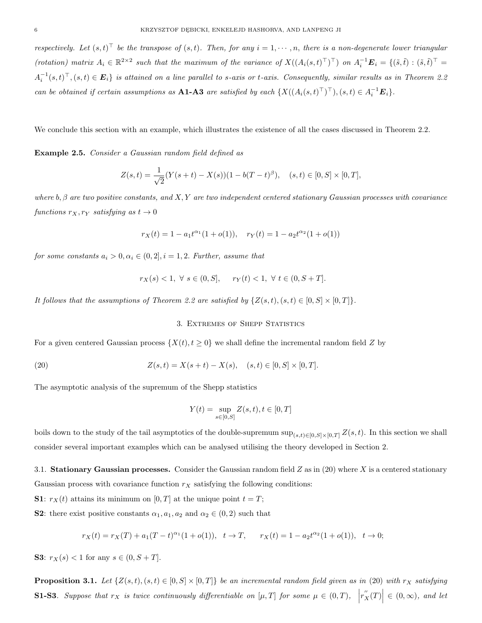respectively. Let  $(s,t)^\top$  be the transpose of  $(s,t)$ . Then, for any  $i=1,\cdots,n$ , there is a non-degenerate lower triangular (rotation) matrix  $A_i \in \mathbb{R}^{2 \times 2}$  such that the maximum of the variance of  $X((A_i(s,t)^{\top})^{\top})$  on  $A_i^{-1} \mathbf{E}_i = \{(\tilde{s}, \tilde{t}) : (\tilde{s}, \tilde{t})^{\top} =$  $A_i^{-1}(s,t)^\top$ ,  $(s,t) \in E_i$  is attained on a line parallel to s-axis or t-axis. Consequently, similar results as in Theorem 2.2 can be obtained if certain assumptions as **A1-A3** are satisfied by each  $\{X((A_i(s,t)^{\top})^{\top}), (s,t) \in A_i^{-1} \mathbf{E}_i\}$ .

We conclude this section with an example, which illustrates the existence of all the cases discussed in Theorem 2.2.

Example 2.5. Consider a Gaussian random field defined as

$$
Z(s,t) = \frac{1}{\sqrt{2}}(Y(s+t) - X(s))(1 - b(T-t)^{\beta}), \quad (s,t) \in [0, S] \times [0, T],
$$

where  $b, \beta$  are two positive constants, and X, Y are two independent centered stationary Gaussian processes with covariance functions  $r_X, r_Y$  satisfying as  $t \to 0$ 

$$
r_X(t) = 1 - a_1 t^{\alpha_1} (1 + o(1)), \quad r_Y(t) = 1 - a_2 t^{\alpha_2} (1 + o(1))
$$

for some constants  $a_i > 0, \alpha_i \in (0, 2], i = 1, 2$ . Further, assume that

$$
r_X(s) < 1, \ \forall \ s \in (0, S], \quad r_Y(t) < 1, \ \forall \ t \in (0, S + T].
$$

It follows that the assumptions of Theorem 2.2 are satisfied by  $\{Z(s,t), (s,t) \in [0, S] \times [0, T]\}.$ 

# 3. Extremes of Shepp Statistics

For a given centered Gaussian process  $\{X(t), t \geq 0\}$  we shall define the incremental random field Z by

(20) 
$$
Z(s,t) = X(s+t) - X(s), \quad (s,t) \in [0, S] \times [0, T].
$$

The asymptotic analysis of the supremum of the Shepp statistics

$$
Y(t) = \sup_{s \in [0, S]} Z(s, t), t \in [0, T]
$$

boils down to the study of the tail asymptotics of the double-supremum sup $\sum_{(s,t)\in[0,S]\times[0,T]}Z(s,t)$ . In this section we shall consider several important examples which can be analysed utilising the theory developed in Section 2.

3.1. Stationary Gaussian processes. Consider the Gaussian random field  $Z$  as in (20) where  $X$  is a centered stationary Gaussian process with covariance function  $r_X$  satisfying the following conditions:

**S1**:  $r_X(t)$  attains its minimum on [0, T] at the unique point  $t = T$ ;

**S2:** there exist positive constants  $\alpha_1, a_1, a_2$  and  $\alpha_2 \in (0, 2)$  such that

$$
r_X(t) = r_X(T) + a_1(T - t)^{\alpha_1}(1 + o(1)), \quad t \to T, \qquad r_X(t) = 1 - a_2 t^{\alpha_2}(1 + o(1)), \quad t \to 0;
$$

**S3:**  $r_X(s) < 1$  for any  $s \in (0, S + T]$ .

**Proposition 3.1.** Let  $\{Z(s,t), (s,t) \in [0, S] \times [0, T]\}$  be an incremental random field given as in (20) with  $r_X$  satisfying **S1-S3**. Suppose that  $r_X$  is twice continuously differentiable on  $[\mu, T]$  for some  $\mu \in (0, T)$ ,  $|r''_X(T)| \in (0, \infty)$ , and let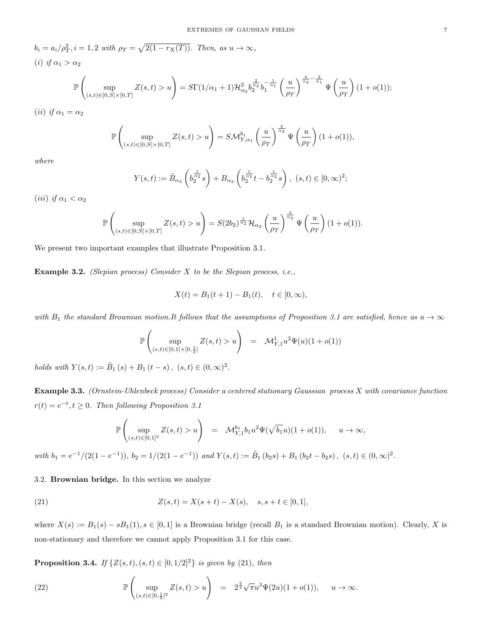$b_i = a_i/\rho_T^2$ ,  $i = 1, 2$  with  $\rho_T = \sqrt{2(1 - r_X(T))}$ . Then, as  $u \to \infty$ , (i) if  $\alpha_1 > \alpha_2$ 

$$
\mathbb{P}\left(\sup_{(s,t)\in[0,S]\times[0,T]}Z(s,t)>u\right)=S\Gamma(1/\alpha_1+1)\mathcal{H}^2_{\alpha_2}b_2^{\frac{2}{\alpha_2}}b_1^{-\frac{1}{\alpha_1}}\left(\frac{u}{\rho_T}\right)^{\frac{4}{\alpha_2}-\frac{2}{\alpha_1}}\Psi\left(\frac{u}{\rho_T}\right)(1+o(1));
$$

(*ii*) if  $\alpha_1 = \alpha_2$ 

$$
\mathbb{P}\left(\sup_{(s,t)\in[0,S]\times[0,T]}Z(s,t)>u\right)=S\mathcal{M}_{Y,\alpha_1}^{b_1}\left(\frac{u}{\rho_T}\right)^{\frac{2}{\alpha_2}}\Psi\left(\frac{u}{\rho_T}\right)(1+o(1)),
$$

where

$$
Y(s,t) := \tilde{B}_{\alpha_2} \left( b_2^{\frac{1}{\alpha_2}} s \right) + B_{\alpha_2} \left( b_2^{\frac{1}{\alpha_2}} t - b_2^{\frac{1}{\alpha_2}} s \right), \ (s,t) \in [0,\infty)^2;
$$

(*iii*) if  $\alpha_1 < \alpha_2$ 

$$
\mathbb{P}\left(\sup_{(s,t)\in[0,S]\times[0,T]}Z(s,t)>u\right)=S(2b_2)^{\frac{1}{\alpha_2}}\mathcal{H}_{\alpha_2}\left(\frac{u}{\rho_T}\right)^{\frac{2}{\alpha_2}}\Psi\left(\frac{u}{\rho_T}\right)(1+o(1)).
$$

We present two important examples that illustrate Proposition 3.1.

**Example 3.2.** (Slepian process) Consider  $X$  to be the Slepian process, i.e.,

$$
X(t) = B_1(t+1) - B_1(t), \quad t \in [0, \infty),
$$

with  $B_1$  the standard Brownian motion.It follows that the assumptions of Proposition 3.1 are satisfied, hence as  $u \to \infty$ 

$$
\mathbb{P}\left(\sup_{(s,t)\in[0,1]\times[0,\frac{1}{2}]} Z(s,t) > u\right) = \mathcal{M}_{Y,1}^1 u^2 \Psi(u) (1 + o(1))
$$

holds with  $Y(s,t) := \tilde{B}_1(s) + B_1(t-s)$ ,  $(s,t) \in (0,\infty)^2$ .

Example 3.3. (Ornstein-Uhlenbeck process) Consider a centered stationary Gaussian process X with covariance function  $r(t) = e^{-t}, t \geq 0$ . Then following Proposition 3.1

$$
\mathbb{P}\left(\sup_{(s,t)\in[0,1]^2}Z(s,t)>u\right) \quad = \quad \mathcal{M}^{b_1}_{Y,1}b_1u^2\Psi(\sqrt{b_1}u)(1+o(1)), \quad \ \ u\to\infty,
$$

with  $b_1 = e^{-1}/(2(1 - e^{-1}))$ ,  $b_2 = 1/(2(1 - e^{-1}))$  and  $Y(s,t) := \tilde{B}_1(b_2s) + B_1(b_2t - b_2s)$ ,  $(s,t) \in (0,\infty)^2$ .

3.2. Brownian bridge. In this section we analyze

(21) 
$$
Z(s,t) = X(s+t) - X(s), \quad s, s+t \in [0,1],
$$

where  $X(s) := B_1(s) - sB_1(1), s \in [0,1]$  is a Brownian bridge (recall  $B_1$  is a standard Brownian motion). Clearly, X is non-stationary and therefore we cannot apply Proposition 3.1 for this case.

**Proposition 3.4.** If  $\{Z(s,t), (s,t) \in [0,1/2]^2\}$  is given by (21), then

(22) 
$$
\mathbb{P}\left(\sup_{(s,t)\in[0,\frac{1}{2}]^2} Z(s,t) > u\right) = 2^{\frac{5}{2}}\sqrt{\pi}u^3\Psi(2u)(1+o(1)), \quad u \to \infty.
$$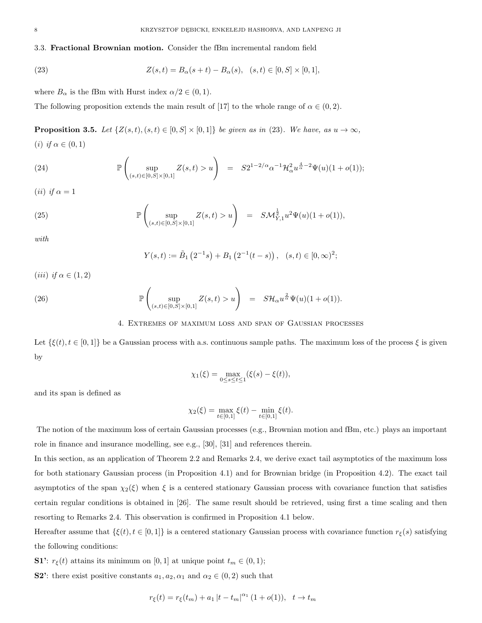3.3. Fractional Brownian motion. Consider the fBm incremental random field

(23) 
$$
Z(s,t) = B_{\alpha}(s+t) - B_{\alpha}(s), \quad (s,t) \in [0, S] \times [0,1],
$$

where  $B_{\alpha}$  is the fBm with Hurst index  $\alpha/2 \in (0,1)$ .

The following proposition extends the main result of [17] to the whole range of  $\alpha \in (0, 2)$ .

**Proposition 3.5.** Let  $\{Z(s,t), (s,t) \in [0, S] \times [0,1]\}$  be given as in (23). We have, as  $u \to \infty$ , (i) if  $\alpha \in (0,1)$ 

(24) 
$$
\mathbb{P}\left(\sup_{(s,t)\in[0,S]\times[0,1]}Z(s,t)>u\right) = S2^{1-2/\alpha}\alpha^{-1}\mathcal{H}_{\alpha}^{2}u^{\frac{4}{\alpha}-2}\Psi(u)(1+o(1));
$$

(*ii*) if  $\alpha = 1$ 

(25) 
$$
\mathbb{P}\left(\sup_{(s,t)\in[0,S]\times[0,1]}Z(s,t)>u\right) = SM_{Y,1}^{\frac{1}{2}}u^2\Psi(u)(1+o(1)),
$$

with

$$
Y(s,t) := \tilde{B}_1\left(2^{-1}s\right) + B_1\left(2^{-1}(t-s)\right), \quad (s,t) \in [0,\infty)^2;
$$

(iii) if  $\alpha \in (1,2)$ 

(26) 
$$
\mathbb{P}\left(\sup_{(s,t)\in[0,S]\times[0,1]}Z(s,t)>u\right) = S\mathcal{H}_{\alpha}u^{\frac{2}{\alpha}}\Psi(u)(1+o(1)).
$$

### 4. Extremes of maximum loss and span of Gaussian processes

Let  $\{\xi(t), t \in [0,1]\}$  be a Gaussian process with a.s. continuous sample paths. The maximum loss of the process  $\xi$  is given by

$$
\chi_1(\xi) = \max_{0 \le s \le t \le 1} (\xi(s) - \xi(t)),
$$

and its span is defined as

$$
\chi_2(\xi) = \max_{t \in [0,1]} \xi(t) - \min_{t \in [0,1]} \xi(t).
$$

The notion of the maximum loss of certain Gaussian processes (e.g., Brownian motion and fBm, etc.) plays an important role in finance and insurance modelling, see e.g., [30], [31] and references therein.

In this section, as an application of Theorem 2.2 and Remarks 2.4, we derive exact tail asymptotics of the maximum loss for both stationary Gaussian process (in Proposition 4.1) and for Brownian bridge (in Proposition 4.2). The exact tail asymptotics of the span  $\chi_2(\xi)$  when  $\xi$  is a centered stationary Gaussian process with covariance function that satisfies certain regular conditions is obtained in [26]. The same result should be retrieved, using first a time scaling and then resorting to Remarks 2.4. This observation is confirmed in Proposition 4.1 below.

Hereafter assume that  $\{\xi(t), t \in [0,1]\}$  is a centered stationary Gaussian process with covariance function  $r_{\xi}(s)$  satisfying the following conditions:

**S1':**  $r_{\xi}(t)$  attains its minimum on [0, 1] at unique point  $t_m \in (0,1)$ ;

**S2**': there exist positive constants  $a_1, a_2, a_1$  and  $a_2 \in (0, 2)$  such that

$$
r_{\xi}(t) = r_{\xi}(t_m) + a_1 |t - t_m|^{\alpha_1} (1 + o(1)), \quad t \to t_m
$$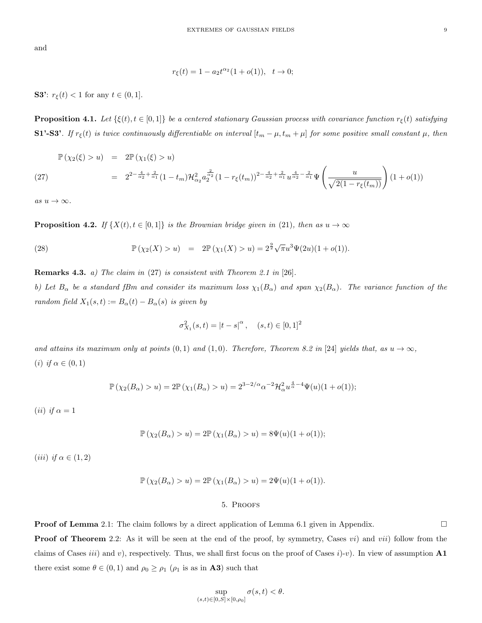and

$$
r_{\xi}(t) = 1 - a_2 t^{\alpha_2} (1 + o(1)), \quad t \to 0;
$$

**S3':**  $r_{\xi}(t) < 1$  for any  $t \in (0, 1]$ .

**Proposition 4.1.** Let  $\{\xi(t), t \in [0,1]\}$  be a centered stationary Gaussian process with covariance function  $r_{\xi}(t)$  satisfying S1'-S3'. If  $r_{\xi}(t)$  is twice continuously differentiable on interval  $[t_m - \mu, t_m + \mu]$  for some positive small constant  $\mu$ , then

$$
\mathbb{P}(\chi_2(\xi) > u) = 2\mathbb{P}(\chi_1(\xi) > u)
$$
\n
$$
= 2^{2 - \frac{4}{\alpha_2} + \frac{2}{\alpha_1}} (1 - t_m) \mathcal{H}_{\alpha_2}^2 a_2^{\frac{2}{\alpha_2}} (1 - r_{\xi}(t_m))^{2 - \frac{4}{\alpha_2} + \frac{2}{\alpha_1}} u^{\frac{4}{\alpha_2} - \frac{2}{\alpha_1}} \Psi\left(\frac{u}{\sqrt{2(1 - r_{\xi}(t_m))}}\right) (1 + o(1))
$$

as  $u \to \infty$ .

**Proposition 4.2.** If  $\{X(t), t \in [0,1]\}$  is the Brownian bridge given in (21), then as  $u \to \infty$ 

(28) 
$$
\mathbb{P}(\chi_2(X) > u) = 2\mathbb{P}(\chi_1(X) > u) = 2^{\frac{9}{2}}\sqrt{\pi}u^3\Psi(2u)(1+o(1)).
$$

**Remarks 4.3.** *a)* The claim in  $(27)$  is consistent with Theorem 2.1 in  $[26]$ .

b) Let  $B_\alpha$  be a standard fBm and consider its maximum loss  $\chi_1(B_\alpha)$  and span  $\chi_2(B_\alpha)$ . The variance function of the random field  $X_1(s,t) := B_\alpha(t) - B_\alpha(s)$  is given by

$$
\sigma_{X_1}^2(s,t) = |t - s|^\alpha, \quad (s,t) \in [0,1]^2
$$

and attains its maximum only at points  $(0, 1)$  and  $(1, 0)$ . Therefore, Theorem 8.2 in [24] yields that, as  $u \to \infty$ , (i) if  $\alpha \in (0,1)$ 

$$
\mathbb{P}(\chi_2(B_\alpha) > u) = 2\mathbb{P}(\chi_1(B_\alpha) > u) = 2^{3-2/\alpha} \alpha^{-2} \mathcal{H}_\alpha^2 u^{\frac{4}{\alpha}-4} \Psi(u)(1+o(1));
$$

(*ii*) if  $\alpha = 1$ 

$$
\mathbb{P}(\chi_2(B_\alpha) > u) = 2\mathbb{P}(\chi_1(B_\alpha) > u) = 8\Psi(u)(1 + o(1));
$$

(iii) if  $\alpha \in (1,2)$ 

$$
\mathbb{P}(\chi_2(B_\alpha) > u) = 2\mathbb{P}(\chi_1(B_\alpha) > u) = 2\Psi(u)(1 + o(1)).
$$

### 5. Proofs

**Proof of Lemma** 2.1: The claim follows by a direct application of Lemma 6.1 given in Appendix.

**Proof of Theorem** 2.2: As it will be seen at the end of the proof, by symmetry, Cases  $vi$ ) and  $vii$ ) follow from the claims of Cases *iii*) and v), respectively. Thus, we shall first focus on the proof of Cases  $i$ )-v). In view of assumption A1 there exist some  $\theta \in (0,1)$  and  $\rho_0 \ge \rho_1$  ( $\rho_1$  is as in **A3**) such that

$$
\sup_{(s,t)\in[0,S]\times[0,\rho_0]}\sigma(s,t)<\theta.
$$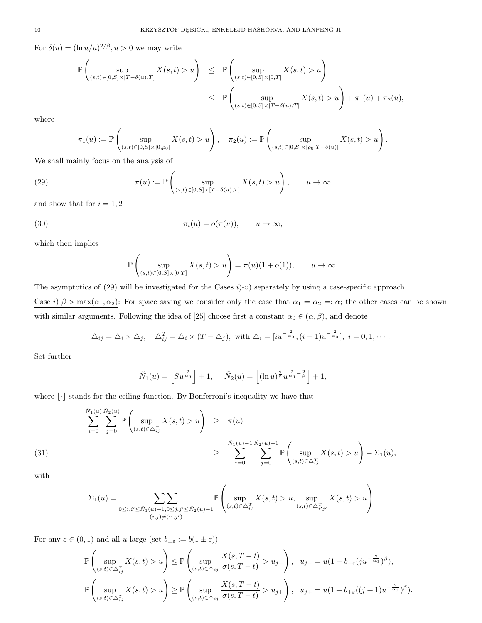For  $\delta(u) = (\ln u/u)^{2/\beta}, u > 0$  we may write

$$
\mathbb{P}\left(\sup_{(s,t)\in[0,S]\times[T-\delta(u),T]}X(s,t)>u\right) \leq \mathbb{P}\left(\sup_{(s,t)\in[0,S]\times[0,T]}X(s,t)>u\right)
$$
  

$$
\leq \mathbb{P}\left(\sup_{(s,t)\in[0,S]\times[T-\delta(u),T]}X(s,t)>u\right)+\pi_1(u)+\pi_2(u),
$$

where

$$
\pi_1(u) := \mathbb{P}\left(\sup_{(s,t) \in [0,S] \times [0,\rho_0]} X(s,t) > u\right), \quad \pi_2(u) := \mathbb{P}\left(\sup_{(s,t) \in [0,S] \times [\rho_0,T-\delta(u)]} X(s,t) > u\right).
$$

We shall mainly focus on the analysis of

(29) 
$$
\pi(u) := \mathbb{P}\left(\sup_{(s,t)\in[0,S]\times[T-\delta(u),T]} X(s,t) > u\right), \qquad u \to \infty
$$

and show that for  $i = 1, 2$ 

(30) 
$$
\pi_i(u) = o(\pi(u)), \qquad u \to \infty,
$$

which then implies

$$
\mathbb{P}\left(\sup_{(s,t)\in[0,S]\times[0,T]}X(s,t)>u\right)=\pi(u)(1+o(1)),\qquad u\to\infty.
$$

The asymptotics of (29) will be investigated for the Cases  $i$ )-v) separately by using a case-specific approach. Case i)  $\beta > \max(\alpha_1, \alpha_2)$ : For space saving we consider only the case that  $\alpha_1 = \alpha_2 =: \alpha$ ; the other cases can be shown with similar arguments. Following the idea of [25] choose first a constant  $\alpha_0 \in (\alpha, \beta)$ , and denote

$$
\Delta_{ij} = \Delta_i \times \Delta_j, \quad \Delta_{ij}^T = \Delta_i \times (T - \Delta_j), \text{ with } \Delta_i = [iu^{-\frac{2}{\alpha_0}}, (i+1)u^{-\frac{2}{\alpha_0}}], \ i = 0, 1, \cdots.
$$

Set further

$$
\tilde{N}_1(u) = \left\lfloor S u^{\frac{2}{\alpha_0}} \right\rfloor + 1, \quad \tilde{N}_2(u) = \left\lfloor (\ln u)^{\frac{2}{\beta}} u^{\frac{2}{\alpha_0} - \frac{2}{\beta}} \right\rfloor + 1,
$$

where  $\lvert \cdot \rvert$  stands for the ceiling function. By Bonferroni's inequality we have that

$$
\sum_{i=0}^{\tilde{N}_1(u)} \sum_{j=0}^{\tilde{N}_2(u)} \mathbb{P}\left(\sup_{(s,t)\in\Delta_{ij}^T} X(s,t) > u\right) \geq \pi(u)
$$
\n
$$
\geq \sum_{i=0}^{\tilde{N}_1(u)-1} \sum_{j=0}^{\tilde{N}_2(u)-1} \mathbb{P}\left(\sup_{(s,t)\in\Delta_{ij}^T} X(s,t) > u\right) - \Sigma_1(u),
$$

with

$$
\Sigma_1(u) = \sum_{0 \le i, i' \le \tilde{N}_1(u)-1, 0 \le j, j' \le \tilde{N}_2(u)-1} \mathbb{P}\left(\sup_{(s,t) \in \Delta_{ij}^T} X(s,t) > u, \sup_{(s,t) \in \Delta_{i'j'}^T} X(s,t) > u\right).
$$

For any  $\varepsilon \in (0,1)$  and all u large (set  $b_{\pm \varepsilon} := b(1 \pm \varepsilon)$ )

$$
\mathbb{P}\left(\sup_{(s,t)\in\Delta_{ij}^T} X(s,t) > u\right) \leq \mathbb{P}\left(\sup_{(s,t)\in\Delta_{ij}^T} \frac{X(s,T-t)}{\sigma(s,T-t)} > u_{j-}\right), u_{j-} = u(1+b_{-\varepsilon}(ju^{-\frac{2}{\alpha_0}})^{\beta}),
$$
  

$$
\mathbb{P}\left(\sup_{(s,t)\in\Delta_{ij}^T} X(s,t) > u\right) \geq \mathbb{P}\left(\sup_{(s,t)\in\Delta_{ij}^T} \frac{X(s,T-t)}{\sigma(s,T-t)} > u_{j+}\right), u_{j+} = u(1+b_{+\varepsilon}((j+1)u^{-\frac{2}{\alpha_0}})^{\beta}).
$$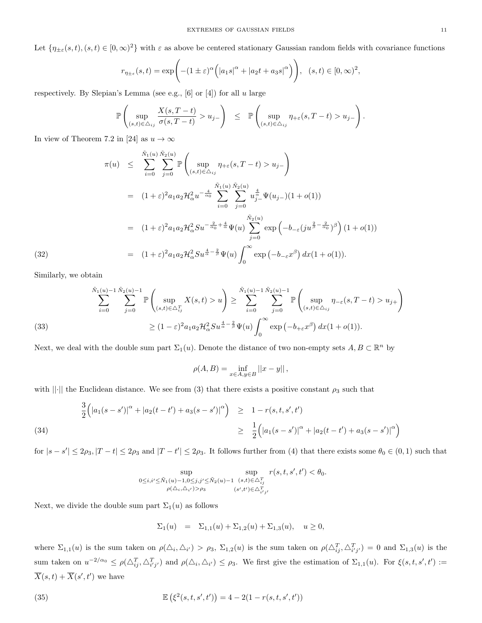Let  $\{\eta_{\pm \varepsilon}(s,t), (s,t) \in [0,\infty)^2\}$  with  $\varepsilon$  as above be centered stationary Gaussian random fields with covariance functions

$$
r_{\eta_{\pm\varepsilon}}(s,t) = \exp\Biggl(-(1\pm\varepsilon)^\alpha \Bigl(|a_1s|^\alpha + |a_2t + a_3s|^\alpha\Bigr)\Biggr), \ \ (s,t)\in[0,\infty)^2,
$$

respectively. By Slepian's Lemma (see e.g.,  $[6]$  or  $[4]$ ) for all u large

$$
\mathbb{P}\left(\sup_{(s,t)\in\Delta_{ij}}\frac{X(s,T-t)}{\sigma(s,T-t)}>u_j-\right) \leq \mathbb{P}\left(\sup_{(s,t)\in\Delta_{ij}}\eta_{+\varepsilon}(s,T-t)>u_j-\right).
$$

In view of Theorem 7.2 in [24] as  $u \to \infty$ 

$$
\pi(u) \leq \sum_{i=0}^{\tilde{N}_1(u)} \sum_{j=0}^{\tilde{N}_2(u)} \mathbb{P}\left(\sup_{(s,t)\in\Delta_{ij}} \eta_{+\varepsilon}(s,T-t) > u_j-\right)
$$
  
\n
$$
= (1+\varepsilon)^2 a_1 a_2 \mathcal{H}_{\alpha}^2 u^{-\frac{4}{\alpha_0}} \sum_{i=0}^{\tilde{N}_1(u)} \sum_{j=0}^{\tilde{N}_2(u)} u_{j}^{\frac{4}{\alpha}} \Psi(u_{j-})(1+o(1))
$$
  
\n
$$
= (1+\varepsilon)^2 a_1 a_2 \mathcal{H}_{\alpha}^2 S u^{-\frac{2}{\alpha_0}+\frac{4}{\alpha}} \Psi(u) \sum_{j=0}^{\tilde{N}_2(u)} \exp\left(-b_{-\varepsilon}(j u^{\frac{2}{\beta}-\frac{2}{\alpha_0}})^{\beta}\right) (1+o(1))
$$
  
\n(32)  
\n
$$
= (1+\varepsilon)^2 a_1 a_2 \mathcal{H}_{\alpha}^2 S u^{\frac{4}{\alpha}-\frac{2}{\beta}} \Psi(u) \int_0^{\infty} \exp\left(-b_{-\varepsilon} x^{\beta}\right) dx (1+o(1)).
$$

Similarly, we obtain

$$
\sum_{i=0}^{\tilde{N}_1(u)-1} \sum_{j=0}^{\tilde{N}_2(u)-1} \mathbb{P}\left(\sup_{(s,t)\in\Delta_{ij}^T} X(s,t) > u\right) \ge \sum_{i=0}^{\tilde{N}_1(u)-1} \sum_{j=0}^{\tilde{N}_2(u)-1} \mathbb{P}\left(\sup_{(s,t)\in\Delta_{ij}} \eta_{-\varepsilon}(s,T-t) > u_{j+}\right)
$$
\n(33)\n
$$
\ge (1-\varepsilon)^2 a_1 a_2 \mathcal{H}_\alpha^2 S u^{\frac{4}{\alpha}-\frac{2}{\beta}} \Psi(u) \int_0^\infty \exp\left(-b_{+\varepsilon} x^\beta\right) dx (1+o(1)).
$$

Next, we deal with the double sum part  $\Sigma_1(u)$ . Denote the distance of two non-empty sets  $A, B \subset \mathbb{R}^n$  by

$$
\rho(A, B) = \inf_{x \in A, y \in B} ||x - y||,
$$

with  $\|\cdot\|$  the Euclidean distance. We see from (3) that there exists a positive constant  $\rho_3$  such that

(34)  
\n
$$
\frac{3}{2} \Big( |a_1(s-s')|^{\alpha} + |a_2(t-t') + a_3(s-s')|^{\alpha} \Big) \ge 1 - r(s,t,s',t')
$$
\n
$$
\ge \frac{1}{2} \Big( |a_1(s-s')|^{\alpha} + |a_2(t-t') + a_3(s-s')|^{\alpha} \Big)
$$

for  $|s - s'| \le 2\rho_3$ ,  $|T - t| \le 2\rho_3$  and  $|T - t'| \le 2\rho_3$ . It follows further from (4) that there exists some  $\theta_0 \in (0, 1)$  such that

$$
\sup_{0\leq i,i'\leq \tilde N_1(u)-1,0\leq j,j'\leq \tilde N_2(u)-1} \sup_{(s,t)\in \triangle_{ij}^T \atop (\rho(\triangle_i, \triangle_{i'})> \rho_3} r(s,t,\varepsilon_{ij}^T) < \theta_0.
$$

Next, we divide the double sum part  $\Sigma_1(u)$  as follows

$$
\Sigma_1(u) = \Sigma_{1,1}(u) + \Sigma_{1,2}(u) + \Sigma_{1,3}(u), \quad u \ge 0,
$$

where  $\Sigma_{1,1}(u)$  is the sum taken on  $\rho(\Delta_i, \Delta_{i'}) > \rho_3$ ,  $\Sigma_{1,2}(u)$  is the sum taken on  $\rho(\Delta_{ij}^T, \Delta_{i'j'}^T) = 0$  and  $\Sigma_{1,3}(u)$  is the sum taken on  $u^{-2/\alpha_0} \le \rho(\Delta_{ij}^T, \Delta_{i'j'}^T)$  and  $\rho(\Delta_i, \Delta_{i'}) \le \rho_3$ . We first give the estimation of  $\Sigma_{1,1}(u)$ . For  $\xi(s, t, s', t') :=$  $\overline{X}(s,t) + \overline{X}(s',t')$  we have

(35) 
$$
\mathbb{E}(\xi^{2}(s,t,s',t')) = 4 - 2(1 - r(s,t,s',t'))
$$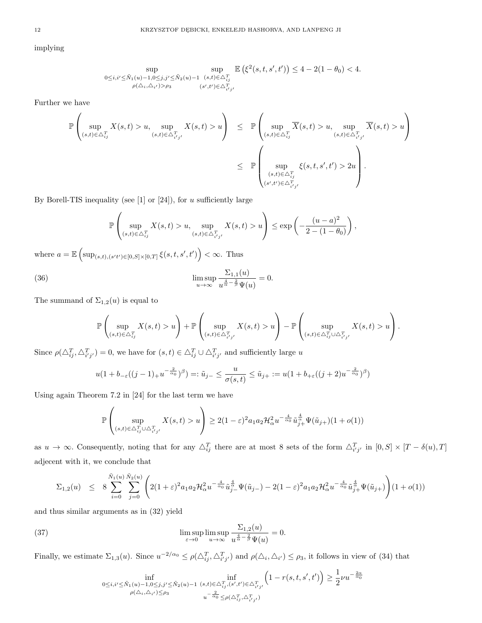implying

$$
\sup_{0 \le i, i' \le \tilde{N}_1(u) - 1, 0 \le j, j' \le \tilde{N}_2(u) - 1} \sup_{(s, t) \in \triangle_{ij}^T} \mathbb{E} \left( \xi^2(s, t, s', t') \right) \le 4 - 2(1 - \theta_0) < 4.
$$
  

$$
\sup_{\rho(\triangle_i, \triangle_{i'}) > \rho_3} \sup_{(s', t') \in \triangle_{i'j'}^T}
$$

Further we have

$$
\mathbb{P}\left(\sup_{(s,t)\in\triangle_{ij}^T} X(s,t) > u, \sup_{(s,t)\in\triangle_{i'j'}^T} X(s,t) > u\right) \leq \mathbb{P}\left(\sup_{(s,t)\in\triangle_{ij}^T} \overline{X}(s,t) > u, \sup_{(s,t)\in\triangle_{i'j'}^T} \overline{X}(s,t) > u\right)
$$
  

$$
\leq \mathbb{P}\left(\sup_{\substack{(s,t)\in\triangle_{i'j}^T\\(s',t')\in\triangle_{i'j'}^T}} \xi(s,t,s',t') > 2u\right).
$$

By Borell-TIS inequality (see  $[1]$  or  $[24]$ ), for u sufficiently large

$$
\mathbb{P}\left(\sup_{(s,t)\in\triangle_{ij}^T} X(s,t) > u, \sup_{(s,t)\in\triangle_{i'j'}^T} X(s,t) > u\right) \le \exp\left(-\frac{(u-a)^2}{2-(1-\theta_0)}\right),
$$

where  $a = \mathbb{E}\left[\sup_{(s,t),(s't')\in[0,S]\times[0,T]}\xi(s,t,s',t')\right] < \infty$ . Thus

(36) 
$$
\limsup_{u \to \infty} \frac{\Sigma_{1,1}(u)}{u^{\frac{4}{\alpha} - \frac{2}{\beta}} \Psi(u)} = 0.
$$

The summand of  $\Sigma_{1,2}(u)$  is equal to

$$
\mathbb{P}\left(\sup_{(s,t)\in\triangle_{ij}^T} X(s,t) > u\right) + \mathbb{P}\left(\sup_{(s,t)\in\triangle_{i'j'}^T} X(s,t) > u\right) - \mathbb{P}\left(\sup_{(s,t)\in\triangle_{i'j}^T\cup\triangle_{i'j'}^T} X(s,t) > u\right).
$$

Since  $\rho(\Delta_{ij}^T, \Delta_{i'j'}^T) = 0$ , we have for  $(s, t) \in \Delta_{ij}^T \cup \Delta_{i'j'}^T$  and sufficiently large u

$$
u(1+b_{-\varepsilon}((j-1)_+u^{-\frac{2}{\alpha_0}})^\beta)=:\tilde{u}_{j-}\leq \frac{u}{\sigma(s,t)}\leq \tilde{u}_{j+}:=u(1+b_{+\varepsilon}((j+2)u^{-\frac{2}{\alpha_0}})^\beta)
$$

Using again Theorem 7.2 in [24] for the last term we have

$$
\mathbb{P}\left(\sup_{(s,t)\in\Delta_{ij}^T\cup\Delta_{i'j'}^T}X(s,t)>u\right)\geq 2(1-\varepsilon)^2a_1a_2\mathcal{H}_\alpha^2u^{-\frac{4}{\alpha_0}}\tilde{u}_{j+}^{\frac{4}{\alpha}}\Psi(\tilde{u}_{j+})(1+o(1))
$$

as  $u \to \infty$ . Consequently, noting that for any  $\Delta_{ij}^T$  there are at most 8 sets of the form  $\Delta_{i'j'}^T$  in  $[0, S] \times [T - \delta(u), T]$ adjecent with it, we conclude that

$$
\Sigma_{1,2}(u) \leq 8 \sum_{i=0}^{\tilde{N}_1(u)} \sum_{j=0}^{\tilde{N}_2(u)} \left( 2(1+\varepsilon)^2 a_1 a_2 \mathcal{H}_{\alpha}^2 u^{-\frac{4}{\alpha_0}} \tilde{u}_{j}^{\frac{4}{\alpha}} \Psi(\tilde{u}_{j-}) - 2(1-\varepsilon)^2 a_1 a_2 \mathcal{H}_{\alpha}^2 u^{-\frac{4}{\alpha_0}} \tilde{u}_{j+}^{\frac{4}{\alpha}} \Psi(\tilde{u}_{j+}) \right) (1+o(1))
$$

and thus similar arguments as in (32) yield

(37) 
$$
\limsup_{\varepsilon \to 0} \limsup_{u \to \infty} \frac{\Sigma_{1,2}(u)}{u^{\frac{4}{\alpha} - \frac{2}{\beta}} \Psi(u)} = 0.
$$

Finally, we estimate  $\Sigma_{1,3}(u)$ . Since  $u^{-2/\alpha_0} \leq \rho(\Delta_{ij}^T, \Delta_{i'j'}^T)$  and  $\rho(\Delta_i, \Delta_{i'}) \leq \rho_3$ , it follows in view of (34) that

$$
\inf_{\substack{0 \le i,i' \le \tilde{N}_1(u)-1,0 \le j,j' \le \tilde{N}_2(u)-1}} \inf_{\substack{(s,t) \in \Delta_{ij}^T, (s',t') \in \Delta_{i'j'}^T, \rho(\Delta_i, \Delta_{i'}) \le \rho_3}} \left(1-r(s,t,s',t')\right) \ge \frac{1}{2} \nu u^{-\frac{2\alpha}{\alpha_0}} \nu^{1-\frac{2}{\alpha_0}} \frac{\nu^{-\frac{2}{\alpha_0}}}{\nu^{-\frac{2}{\alpha_0}} \le \rho(\Delta_{ij}^T, \Delta_{i'j'}^T)}
$$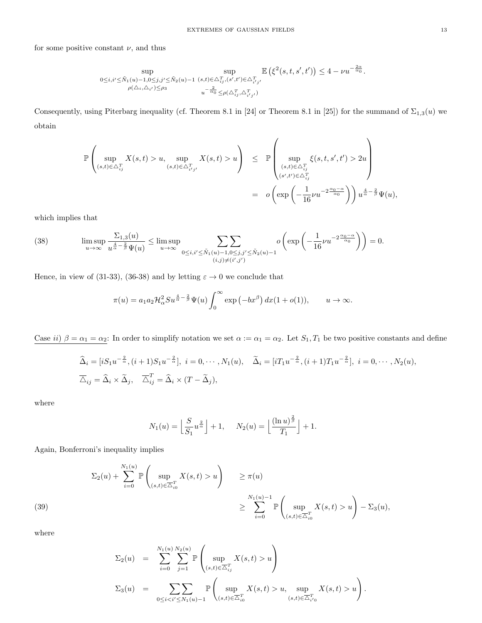for some positive constant  $\nu$ , and thus

$$
\sup_{\substack{0 \le i,i' \le \tilde{N}_1(u)-1, 0 \le j,j' \le \tilde{N}_2(u)-1}} \sup_{\substack{(s,t) \in \Delta_{i,j}^T, (s',t') \in \Delta_{i'j'}^T \\ \rho(\Delta_i, \Delta_{i'}) \le \rho_3}} \mathbb{E}\left(\xi^2(s,t,s',t')\right) \le 4 - \nu u^{-\frac{2\alpha}{\alpha_0}}.
$$

Consequently, using Piterbarg inequality (cf. Theorem 8.1 in [24] or Theorem 8.1 in [25]) for the summand of  $\Sigma_{1,3}(u)$  we obtain

$$
\mathbb{P}\left(\sup_{(s,t)\in\triangle_{ij}^T} X(s,t) > u, \sup_{(s,t)\in\triangle_{i'j'}^T} X(s,t) > u\right) \leq \mathbb{P}\left(\sup_{\substack{(s,t)\in\triangle_{ij}^T \\ (s',t')\in\triangle_{ij}^T}} \xi(s,t,s',t') > 2u\right)
$$

$$
= o\left(\exp\left(-\frac{1}{16}\nu u^{-2\frac{\alpha_0-\alpha}{\alpha_0}}\right)\right)u^{\frac{4}{\alpha}-\frac{2}{\beta}}\Psi(u),
$$

which implies that

(38) 
$$
\limsup_{u \to \infty} \frac{\Sigma_{1,3}(u)}{u^{\frac{4}{\alpha} - \frac{2}{\beta}} \Psi(u)} \le \limsup_{u \to \infty} \sum_{0 \le i, i' \le \tilde{N}_1(u) - 1, 0 \le j, j' \le \tilde{N}_2(u) - 1} o\left(\exp\left(-\frac{1}{16} \nu u^{-2\frac{\alpha_0 - \alpha}{\alpha_0}}\right)\right) = 0.
$$

Hence, in view of (31-33), (36-38) and by letting  $\varepsilon \to 0$  we conclude that

$$
\pi(u) = a_1 a_2 \mathcal{H}_\alpha^2 S u^{\frac{4}{\alpha} - \frac{2}{\beta}} \Psi(u) \int_0^\infty \exp\left(-bx^\beta\right) dx (1 + o(1)), \qquad u \to \infty.
$$

Case ii)  $\beta = \alpha_1 = \alpha_2$ : In order to simplify notation we set  $\alpha := \alpha_1 = \alpha_2$ . Let  $S_1, T_1$  be two positive constants and define

$$
\widehat{\Delta}_i = [iS_1u^{-\frac{2}{\alpha}}, (i+1)S_1u^{-\frac{2}{\alpha}}], i = 0, \cdots, N_1(u), \quad \widetilde{\Delta}_i = [iT_1u^{-\frac{2}{\alpha}}, (i+1)T_1u^{-\frac{2}{\alpha}}], i = 0, \cdots, N_2(u),
$$
  

$$
\overline{\Delta}_{ij} = \widehat{\Delta}_i \times \widetilde{\Delta}_j, \quad \overline{\Delta}_{ij}^T = \widehat{\Delta}_i \times (T - \widetilde{\Delta}_j),
$$

where

$$
N_1(u) = \left\lfloor \frac{S}{S_1} u^{\frac{2}{\alpha}} \right\rfloor + 1, \quad N_2(u) = \left\lfloor \frac{(\ln u)^{\frac{2}{\beta}}}{T_1} \right\rfloor + 1.
$$

Again, Bonferroni's inequality implies

$$
\Sigma_2(u) + \sum_{i=0}^{N_1(u)} \mathbb{P}\left(\sup_{(s,t)\in\overline{\Delta}_{i0}^T} X(s,t) > u\right) \ge \pi(u)
$$
  

$$
\ge \sum_{i=0}^{N_1(u)-1} \mathbb{P}\left(\sup_{(s,t)\in\overline{\Delta}_{i0}^T} X(s,t) > u\right) - \Sigma_3(u),
$$

where

$$
\Sigma_2(u) = \sum_{i=0}^{N_1(u)} \sum_{j=1}^{N_2(u)} \mathbb{P}\left(\sup_{(s,t)\in \overline{\Delta}_{ij}^T} X(s,t) > u\right)
$$
  

$$
\Sigma_3(u) = \sum_{0 \le i < i' \le N_1(u)-1} \mathbb{P}\left(\sup_{(s,t)\in \overline{\Delta}_{i0}^T} X(s,t) > u, \sup_{(s,t)\in \overline{\Delta}_{i'0}^T} X(s,t) > u\right).
$$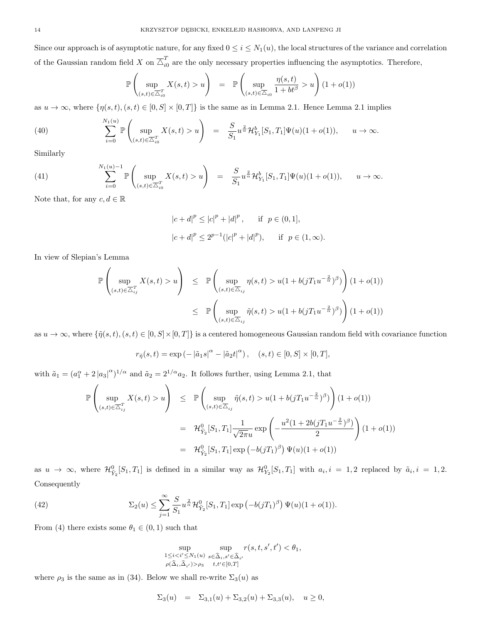Since our approach is of asymptotic nature, for any fixed  $0 \le i \le N_1(u)$ , the local structures of the variance and correlation of the Gaussian random field X on  $\overline{\triangle}^T_{i0}$  are the only necessary properties influencing the asymptotics. Therefore,

$$
\mathbb{P}\left(\sup_{(s,t)\in\overline{\Delta}_{i0}^T} X(s,t) > u\right) = \mathbb{P}\left(\sup_{(s,t)\in\overline{\Delta}_{i0}} \frac{\eta(s,t)}{1+bt^{\beta}} > u\right) (1+o(1))
$$

as  $u \to \infty$ , where  $\{\eta(s, t), (s, t) \in [0, S] \times [0, T]\}$  is the same as in Lemma 2.1. Hence Lemma 2.1 implies

(40) 
$$
\sum_{i=0}^{N_1(u)} \mathbb{P}\left(\sup_{(s,t)\in\overline{\Delta}_{i0}^T} X(s,t) > u\right) = \frac{S}{S_1} u^{\frac{2}{\alpha}} \mathcal{H}_{Y_1}^b[S_1, T_1] \Psi(u) (1 + o(1)), \quad u \to \infty.
$$

Similarly

(41) 
$$
\sum_{i=0}^{N_1(u)-1} \mathbb{P}\left(\sup_{(s,t)\in \overline{\Delta}_{i0}^T} X(s,t) > u\right) = \frac{S}{S_1} u^{\frac{2}{\alpha}} \mathcal{H}_{Y_1}^b[S_1, T_1] \Psi(u) (1+o(1)), \quad u \to \infty.
$$

Note that, for any  $c, d \in \mathbb{R}$ 

$$
|c+d|^p \le |c|^p + |d|^p, \quad \text{if } p \in (0,1],
$$
  

$$
|c+d|^p \le 2^{p-1}(|c|^p + |d|^p), \quad \text{if } p \in (1,\infty).
$$

In view of Slepian's Lemma

$$
\mathbb{P}\left(\sup_{(s,t)\in\overline{\Delta}_{ij}^T} X(s,t) > u\right) \leq \mathbb{P}\left(\sup_{(s,t)\in\overline{\Delta}_{ij}} \eta(s,t) > u(1+b(jT_1u^{-\frac{2}{\alpha}})^{\beta})\right) (1+o(1))
$$
  

$$
\leq \mathbb{P}\left(\sup_{(s,t)\in\overline{\Delta}_{ij}} \tilde{\eta}(s,t) > u(1+b(jT_1u^{-\frac{2}{\alpha}})^{\beta})\right) (1+o(1))
$$

as  $u \to \infty$ , where  $\{\tilde{\eta}(s, t), (s, t) \in [0, S] \times [0, T]\}$  is a centered homogeneous Gaussian random field with covariance function

$$
r_{\tilde{\eta}}(s,t) = \exp(-|\tilde{a}_1 s|^{\alpha} - |\tilde{a}_2 t|^{\alpha}), \quad (s,t) \in [0, S] \times [0, T],
$$

with  $\tilde{a}_1 = (a_1^{\alpha} + 2 |a_3|^{\alpha})^{1/\alpha}$  and  $\tilde{a}_2 = 2^{1/\alpha} a_2$ . It follows further, using Lemma 2.1, that

$$
\mathbb{P}\left(\sup_{(s,t)\in\overline{\Delta}_{ij}^T} X(s,t) > u\right) \leq \mathbb{P}\left(\sup_{(s,t)\in\overline{\Delta}_{ij}} \tilde{\eta}(s,t) > u(1 + b(jT_1u^{-\frac{2}{\alpha}})^{\beta})\right) (1 + o(1))
$$
  

$$
= \mathcal{H}_{\tilde{Y}_2}^0[S_1, T_1] \frac{1}{\sqrt{2\pi}u} \exp\left(-\frac{u^2(1 + 2b(jT_1u^{-\frac{2}{\alpha}})^{\beta})}{2}\right) (1 + o(1))
$$
  

$$
= \mathcal{H}_{\tilde{Y}_2}^0[S_1, T_1] \exp(-b(jT_1)^{\beta}) \Psi(u)(1 + o(1))
$$

as  $u \to \infty$ , where  $\mathcal{H}_{\tilde{Y}_2}^0[S_1, T_1]$  is defined in a similar way as  $\mathcal{H}_{Y_2}^0[S_1, T_1]$  with  $a_i, i = 1, 2$  replaced by  $\tilde{a}_i, i = 1, 2$ . Consequently

(42) 
$$
\sum_{j=1}^{\infty} \frac{S}{S_1} u^{\frac{2}{\alpha}} \mathcal{H}_{\tilde{Y}_2}^0[S_1, T_1] \exp\left(-b(jT_1)^{\beta}\right) \Psi(u)(1+o(1)).
$$

From (4) there exists some  $\theta_1 \in (0,1)$  such that

$$
\sup_{\substack{1 \le i < i' \le N_1(u) \\ \rho(\widehat{\Delta}_i, \widehat{\Delta}_{i'}) > \rho_3}} \sup_{\substack{s \in \widehat{\Delta}_i, s' \in \widehat{\Delta}_{i'} \\ t, t' \in [0, T]}} r(s, t, s', t') < \theta_1,
$$

where  $\rho_3$  is the same as in (34). Below we shall re-write  $\Sigma_3(u)$  as

$$
\Sigma_3(u) = \Sigma_{3,1}(u) + \Sigma_{3,2}(u) + \Sigma_{3,3}(u), \quad u \ge 0,
$$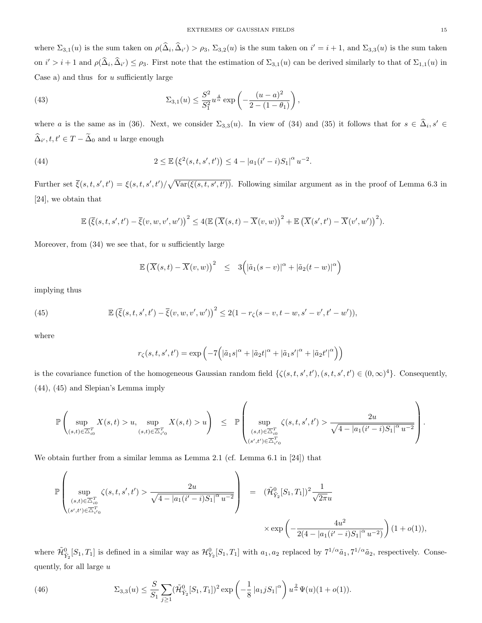where  $\Sigma_{3,1}(u)$  is the sum taken on  $\rho(\hat{\Delta}_i, \hat{\Delta}_{i'}) > \rho_3$ ,  $\Sigma_{3,2}(u)$  is the sum taken on  $i' = i + 1$ , and  $\Sigma_{3,3}(u)$  is the sum taken on  $i' > i + 1$  and  $\rho(\hat{\Delta}_i, \hat{\Delta}_{i'}) \leq \rho_3$ . First note that the estimation of  $\Sigma_{3,1}(u)$  can be derived similarly to that of  $\Sigma_{1,1}(u)$  in Case a) and thus for  $u$  sufficiently large

(43) 
$$
\Sigma_{3,1}(u) \leq \frac{S^2}{S_1^2} u^{\frac{4}{\alpha}} \exp\left(-\frac{(u-a)^2}{2-(1-\theta_1)}\right),
$$

where a is the same as in (36). Next, we consider  $\Sigma_{3,3}(u)$ . In view of (34) and (35) it follows that for  $s \in \hat{\Delta}_i$ ,  $s' \in$  $\widehat{\Delta}_{i'}, t, t' \in T - \widetilde{\Delta}_0$  and u large enough

(44) 
$$
2 \leq \mathbb{E} \left( \xi^2(s, t, s', t') \right) \leq 4 - |a_1(i'-i)S_1|^{\alpha} u^{-2}.
$$

Further set  $\bar{\xi}(s,t,s',t') = \xi(s,t,s',t')/\sqrt{\text{Var}(\xi(s,t,s',t'))}$ . Following similar argument as in the proof of Lemma 6.3 in [24], we obtain that

$$
\mathbb{E}\left(\overline{\xi}(s,t,s',t')-\overline{\xi}(v,w,v',w')\right)^2\leq 4\big(\mathbb{E}\left(\overline{X}(s,t)-\overline{X}(v,w)\right)^2+\mathbb{E}\left(\overline{X}(s',t')-\overline{X}(v',w')\right)^2\big).
$$

Moreover, from  $(34)$  we see that, for u sufficiently large

$$
\mathbb{E}\left(\overline{X}(s,t)-\overline{X}(v,w)\right)^2 \leq 3\Big(|\tilde{a}_1(s-v)|^{\alpha}+|\tilde{a}_2(t-w)|^{\alpha}\Big)
$$

implying thus

(45) 
$$
\mathbb{E}(\bar{\xi}(s,t,s',t') - \bar{\xi}(v,w,v',w'))^{2} \leq 2(1-r_{\zeta}(s-v,t-w,s'-v',t'-w')),
$$

where

$$
r_{\zeta}(s,t,s',t') = \exp\left(-7\Big(|\tilde{a}_1s|^{\alpha} + |\tilde{a}_2t|^{\alpha} + |\tilde{a}_1s'|^{\alpha} + |\tilde{a}_2t'|^{\alpha}\Big)\right)
$$

is the covariance function of the homogeneous Gaussian random field  $\{\zeta(s,t,s',t'),(s,t,s',t')\in(0,\infty)^4\}$ . Consequently, (44), (45) and Slepian's Lemma imply

$$
\mathbb{P}\left(\sup_{(s,t)\in\overline{\Delta}^T_{i0}}X(s,t)>u,\sup_{(s,t)\in\overline{\Delta}^T_{i'0}}X(s,t)>u\right) \leq \mathbb{P}\left(\sup_{\substack{(s,t)\in\overline{\Delta}^T_{i0} \ (s',t')\in\overline{\Delta}^T_{i'0}}}\zeta(s,t,s',t')>\frac{2u}{\sqrt{4-|a_1(i'-i)S_1|^\alpha u^{-2}}}\right).
$$

We obtain further from a similar lemma as Lemma 2.1 (cf. Lemma 6.1 in [24]) that

$$
\mathbb{P}\left(\sup_{\substack{(s,t)\in\overline{\triangle}^T_{i0} \\ (s',t')\in\overline{\triangle}^T_{i'0}}}\zeta(s,t,s',t') > \frac{2u}{\sqrt{4-|a_1(i'-i)S_1|^\alpha u^{-2}}}\right) = (\tilde{\mathcal{H}}_{\tilde{Y}_2}^0[S_1,T_1])^2 \frac{1}{\sqrt{2\pi}u}
$$

$$
\times \exp\left(-\frac{4u^2}{2(4-|a_1(i'-i)S_1|^\alpha u^{-2})}\right)(1+o(1)),
$$

where  $\tilde{\mathcal{H}}_{\tilde{Y}_2}^0[S_1, T_1]$  is defined in a similar way as  $\mathcal{H}_{Y_2}^0[S_1, T_1]$  with  $a_1, a_2$  replaced by  $7^{1/\alpha}\tilde{a}_1, 7^{1/\alpha}\tilde{a}_2$ , respectively. Consequently, for all large  $u$ 

(46) 
$$
\Sigma_{3,3}(u) \leq \frac{S}{S_1} \sum_{j \geq 1} (\tilde{\mathcal{H}}_{\tilde{Y}_2}^0[S_1, T_1])^2 \exp\left(-\frac{1}{8} |a_1 j S_1|^{\alpha}\right) u^{\frac{2}{\alpha}} \Psi(u) (1 + o(1)).
$$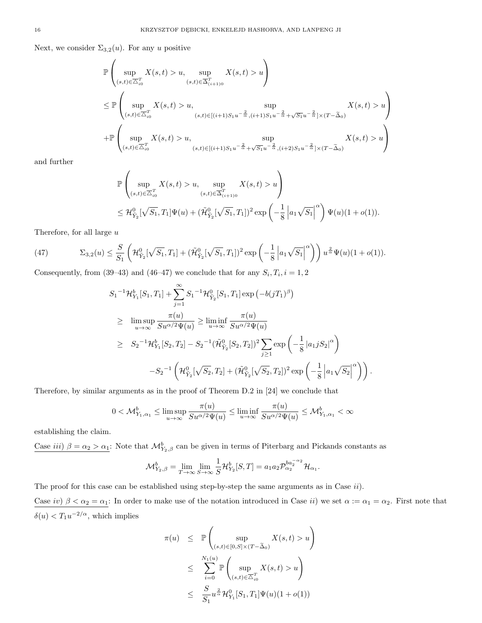Next, we consider  $\Sigma_{3,2}(u)$ . For any u positive

$$
\mathbb{P}\left(\sup_{(s,t)\in\overline{\Delta}_{i0}^T} X(s,t) > u, \sup_{(s,t)\in\overline{\Delta}_{(i+1)0}^T} X(s,t) > u\right)
$$
\n
$$
\leq \mathbb{P}\left(\sup_{(s,t)\in\overline{\Delta}_{i0}^T} X(s,t) > u, \sup_{(s,t)\in[(i+1)S_1u^{-\frac{2}{\alpha}},(i+1)S_1u^{-\frac{2}{\alpha}}+\sqrt{S_1}u^{-\frac{2}{\alpha}}] \times (T-\tilde{\Delta}_0)} X(s,t) > u\right)
$$
\n
$$
+ \mathbb{P}\left(\sup_{(s,t)\in\overline{\Delta}_{i0}^T} X(s,t) > u, \sup_{(s,t)\in[(i+1)S_1u^{-\frac{2}{\alpha}}+\sqrt{S_1}u^{-\frac{2}{\alpha}},(i+2)S_1u^{-\frac{2}{\alpha}}] \times (T-\tilde{\Delta}_0)} X(s,t) > u\right)
$$

and further

$$
\mathbb{P}\left(\sup_{(s,t)\in\overline{\Delta}_{i0}^T} X(s,t) > u, \sup_{(s,t)\in\overline{\Delta}_{(i+1)0}^T} X(s,t) > u\right)
$$
  

$$
\leq \mathcal{H}_{\tilde{Y}_2}^0[\sqrt{S_1},T_1]\Psi(u) + (\tilde{\mathcal{H}}_{\tilde{Y}_2}^0[\sqrt{S_1},T_1])^2 \exp\left(-\frac{1}{8} \left|a_1\sqrt{S_1}\right|^\alpha\right)\Psi(u)(1+o(1)).
$$

Therefore, for all large  $u$ 

(47) 
$$
\Sigma_{3,2}(u) \leq \frac{S}{S_1} \left( \mathcal{H}_{\tilde{Y}_2}^0[\sqrt{S_1}, T_1] + (\tilde{\mathcal{H}}_{\tilde{Y}_2}^0[\sqrt{S_1}, T_1])^2 \exp\left(-\frac{1}{8} \left| a_1 \sqrt{S_1} \right|^\alpha \right) \right) u^{\frac{2}{\alpha}} \Psi(u) (1 + o(1)).
$$

Consequently, from (39–43) and (46–47) we conclude that for any  $S_i, T_i, i = 1, 2$ 

$$
S_{1}^{-1}\mathcal{H}_{Y_{1}}^{b}[S_{1},T_{1}] + \sum_{j=1}^{\infty} S_{1}^{-1}\mathcal{H}_{\tilde{Y}_{2}}^{0}[S_{1},T_{1}] \exp(-b(jT_{1})^{\beta})
$$
  
\n
$$
\geq \limsup_{u \to \infty} \frac{\pi(u)}{Su^{\alpha/2}\Psi(u)} \geq \liminf_{u \to \infty} \frac{\pi(u)}{Su^{\alpha/2}\Psi(u)}
$$
  
\n
$$
\geq S_{2}^{-1}\mathcal{H}_{Y_{1}}^{b}[S_{2},T_{2}] - S_{2}^{-1}(\tilde{\mathcal{H}}_{\tilde{Y}_{2}}^{0}[S_{2},T_{2}])^{2} \sum_{j\geq 1} \exp\left(-\frac{1}{8}|a_{1}jS_{2}|^{\alpha}\right)
$$
  
\n
$$
-S_{2}^{-1}\left(\mathcal{H}_{\tilde{Y}_{2}}^{0}[\sqrt{S_{2}},T_{2}] + (\tilde{\mathcal{H}}_{\tilde{Y}_{2}}^{0}[\sqrt{S_{2}},T_{2}])^{2} \exp\left(-\frac{1}{8}|a_{1}\sqrt{S_{2}}|^{\alpha}\right)\right).
$$

Therefore, by similar arguments as in the proof of Theorem D.2 in [24] we conclude that

$$
0<\mathcal{M}^b_{Y_1,\alpha_1}\leq \limsup_{u\to\infty}\frac{\pi(u)}{Su^{\alpha/2}\Psi(u)}\leq \liminf_{u\to\infty}\frac{\pi(u)}{Su^{\alpha/2}\Psi(u)}\leq \mathcal{M}^b_{Y_1,\alpha_1}<\infty
$$

establishing the claim.

Case *iii*)  $\beta = \alpha_2 > \alpha_1$ : Note that  $\mathcal{M}_{Y_2,\beta}^b$  can be given in terms of Piterbarg and Pickands constants as

$$
\mathcal{M}_{Y_2,\beta}^b = \lim_{T \to \infty} \lim_{S \to \infty} \frac{1}{S} \mathcal{H}_{Y_2}^b[S,T] = a_1 a_2 \mathcal{P}_{\alpha_2}^{b a_2^{-\alpha_2}} \mathcal{H}_{\alpha_1}.
$$

The proof for this case can be established using step-by-step the same arguments as in Case ii). Case iv)  $\beta < \alpha_2 = \alpha_1$ : In order to make use of the notation introduced in Case ii) we set  $\alpha := \alpha_1 = \alpha_2$ . First note that  $\delta(u) < T_1 u^{-2/\alpha}$ , which implies

$$
\pi(u) \leq \mathbb{P}\left(\sup_{(s,t)\in[0,S]\times(T-\tilde{\Delta}_{0})} X(s,t) > u\right)
$$
  

$$
\leq \sum_{i=0}^{N_{1}(u)} \mathbb{P}\left(\sup_{(s,t)\in\overline{\Delta}^{T}_{i0}} X(s,t) > u\right)
$$
  

$$
\leq \frac{S}{S_{1}} u^{\frac{2}{\alpha}} \mathcal{H}_{Y_{1}}^{0}[S_{1},T_{1}]\Psi(u)(1+o(1))
$$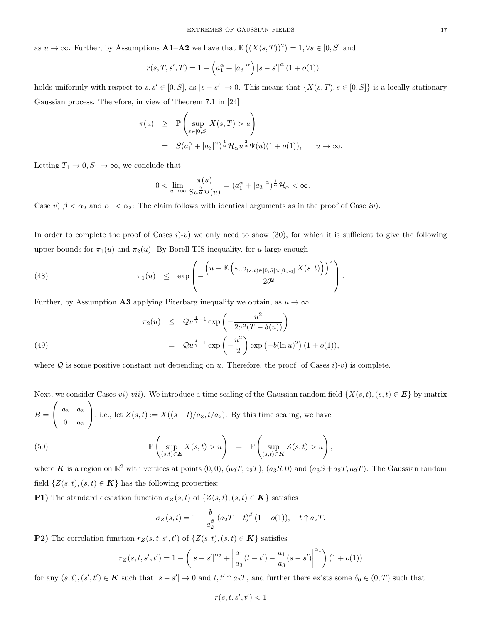as  $u \to \infty$ . Further, by Assumptions **A1–A2** we have that  $\mathbb{E}((X(s,T))^2) = 1, \forall s \in [0, S]$  and

$$
r(s, T, s', T) = 1 - \left( a_1^{\alpha} + |a_3|^{\alpha} \right) |s - s'|^{\alpha} (1 + o(1))
$$

holds uniformly with respect to  $s, s' \in [0, S]$ , as  $|s - s'| \to 0$ . This means that  $\{X(s, T), s \in [0, S]\}$  is a locally stationary Gaussian process. Therefore, in view of Theorem 7.1 in [24]

$$
\pi(u) \geq \mathbb{P}\left(\sup_{s \in [0,S]} X(s,T) > u\right)
$$
  
=  $S(a_1^{\alpha} + |a_3|^{\alpha})^{\frac{1}{\alpha}} \mathcal{H}_{\alpha} u^{\frac{2}{\alpha}} \Psi(u)(1+o(1)), \quad u \to \infty.$ 

Letting  $T_1 \to 0, S_1 \to \infty$ , we conclude that

$$
0<\lim_{u\to\infty}\frac{\pi(u)}{S u^{\frac{2}{\alpha}}\Psi(u)}=(a_1^{\alpha}+|a_3|^{\alpha})^{\frac{1}{\alpha}}\mathcal{H}_{\alpha}<\infty.
$$

Case v)  $\beta < \alpha_2$  and  $\alpha_1 < \alpha_2$ : The claim follows with identical arguments as in the proof of Case iv).

In order to complete the proof of Cases  $i$ )-v) we only need to show (30), for which it is sufficient to give the following upper bounds for  $\pi_1(u)$  and  $\pi_2(u)$ . By Borell-TIS inequality, for u large enough

(48) 
$$
\pi_1(u) \leq \exp\left(-\frac{\left(u-\mathbb{E}\left(\sup_{(s,t)\in[0,S]\times[0,\rho_0]}X(s,t)\right)\right)^2}{2\theta^2}\right).
$$

Further, by Assumption A3 applying Piterbarg inequality we obtain, as  $u \to \infty$ 

(49) 
$$
\pi_2(u) \leq Q u^{\frac{4}{\gamma}-1} \exp\left(-\frac{u^2}{2\sigma^2 (T-\delta(u))}\right) \n= Q u^{\frac{4}{\gamma}-1} \exp\left(-\frac{u^2}{2}\right) \exp(-b(\ln u)^2) (1+o(1)),
$$

where Q is some positive constant not depending on u. Therefore, the proof of Cases  $i$ )-v) is complete.

Next, we consider Cases *vi*)-*vii*). We introduce a time scaling of the Gaussian random field  $\{X(s,t), (s,t) \in E\}$  by matrix  $B =$  $\sqrt{ }$  $\mathcal{L}$  $a_3$   $a_2$  $0 \quad a_2$  $\setminus$ , i.e., let  $Z(s,t) := X((s-t)/a_3, t/a_2)$ . By this time scaling, we have

(50) 
$$
\mathbb{P}\left(\sup_{(s,t)\in\mathbf{E}}X(s,t)>u\right) = \mathbb{P}\left(\sup_{(s,t)\in\mathbf{K}}Z(s,t)>u\right),
$$

where **K** is a region on  $\mathbb{R}^2$  with vertices at points  $(0,0)$ ,  $(a_2T, a_2T)$ ,  $(a_3S, 0)$  and  $(a_3S + a_2T, a_2T)$ . The Gaussian random field  $\{Z(s,t), (s,t) \in \mathbf{K}\}\$  has the following properties:

**P1)** The standard deviation function  $\sigma_Z(s, t)$  of  $\{Z(s, t), (s, t) \in \mathbf{K}\}\)$  satisfies

$$
\sigma_Z(s,t) = 1 - \frac{b}{a_2^{\beta}} (a_2 T - t)^{\beta} (1 + o(1)), \quad t \uparrow a_2 T.
$$

**P2)** The correlation function  $r_Z(s, t, s', t')$  of  $\{Z(s, t), (s, t) \in K\}$  satisfies

$$
r_Z(s, t, s', t') = 1 - \left( |s - s'|^{\alpha_2} + \left| \frac{a_1}{a_3}(t - t') - \frac{a_1}{a_3}(s - s') \right|^{\alpha_1} \right) (1 + o(1))
$$

for any  $(s,t), (s',t') \in K$  such that  $|s - s'| \to 0$  and  $t, t' \uparrow a_2T$ , and further there exists some  $\delta_0 \in (0,T)$  such that

$$
r(s, t, s', t') < 1
$$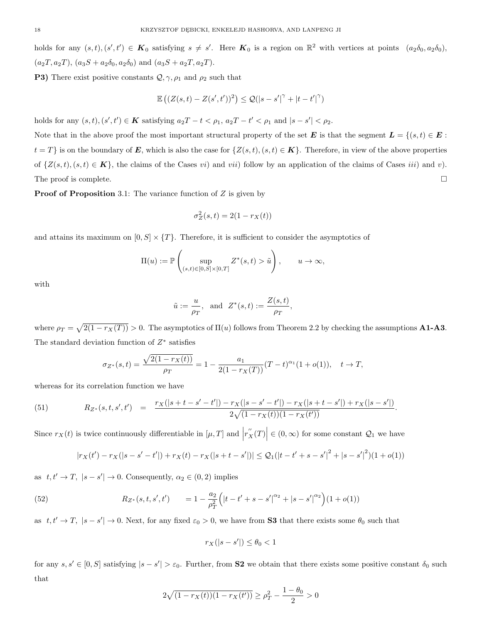holds for any  $(s,t), (s',t') \in K_0$  satisfying  $s \neq s'$ . Here  $K_0$  is a region on  $\mathbb{R}^2$  with vertices at points  $(a_2\delta_0, a_2\delta_0)$ ,  $(a_2T, a_2T), (a_3S + a_2\delta_0, a_2\delta_0)$  and  $(a_3S + a_2T, a_2T)$ .

**P3)** There exist positive constants  $Q, \gamma, \rho_1$  and  $\rho_2$  such that

$$
\mathbb{E}\left((Z(s,t)-Z(s',t'))^2\right) \leq \mathcal{Q}(|s-s'|^{\gamma}+|t-t'|^{\gamma})
$$

holds for any  $(s, t), (s', t') \in K$  satisfying  $a_2T - t < \rho_1$ ,  $a_2T - t' < \rho_1$  and  $|s - s'| < \rho_2$ .

Note that in the above proof the most important structural property of the set E is that the segment  $L = \{(s, t) \in E :$  $t = T$  is on the boundary of **E**, which is also the case for  $\{Z(s,t), (s,t) \in \mathbf{K}\}\.$  Therefore, in view of the above properties of  $\{Z(s,t), (s,t) \in \mathbf{K}\},\$  the claims of the Cases vi) and vii) follow by an application of the claims of Cases iii) and v). The proof is complete.  $\Box$ 

**Proof of Proposition** 3.1: The variance function of  $Z$  is given by

$$
\sigma_Z^2(s,t) = 2(1 - r_X(t))
$$

and attains its maximum on  $[0, S] \times \{T\}$ . Therefore, it is sufficient to consider the asymptotics of

$$
\Pi(u) := \mathbb{P}\left(\sup_{(s,t)\in[0,S]\times[0,T]} Z^*(s,t) > \tilde{u}\right), \qquad u \to \infty,
$$

with

$$
\tilde{u} := \frac{u}{\rho_T}
$$
, and  $Z^*(s,t) := \frac{Z(s,t)}{\rho_T}$ ,

where  $\rho_T = \sqrt{2(1 - r_X(T))} > 0$ . The asymptotics of  $\Pi(u)$  follows from Theorem 2.2 by checking the assumptions **A1-A3**. The standard deviation function of  $Z^*$  satisfies

$$
\sigma_{Z^*}(s,t) = \frac{\sqrt{2(1 - r_X(t))}}{\rho_T} = 1 - \frac{a_1}{2(1 - r_X(T))}(T - t)^{\alpha_1}(1 + o(1)), \quad t \to T,
$$

whereas for its correlation function we have

(51) 
$$
R_{Z^*}(s,t,s',t') = \frac{r_X(|s+t-s'-t'|) - r_X(|s-s'-t'|) - r_X(|s+t-s'|) + r_X(|s-s'|)}{2\sqrt{(1-r_X(t))(1-r_X(t'))}}.
$$

Since  $r_X(t)$  is twice continuously differentiable in  $[\mu, T]$  and  $|r''_X(T)| \in (0, \infty)$  for some constant  $\mathcal{Q}_1$  we have

$$
|r_X(t') - r_X(|s - s' - t'|) + r_X(t) - r_X(|s + t - s'|)| \leq Q_1(|t - t' + s - s'|^2 + |s - s'|^2)(1 + o(1))
$$

as  $t, t' \rightarrow T$ ,  $|s - s'| \rightarrow 0$ . Consequently,  $\alpha_2 \in (0, 2)$  implies

(52) 
$$
R_{Z^*}(s,t,s',t') = 1 - \frac{a_2}{\rho_T^2} \Big( |t-t' + s - s'|^{\alpha_2} + |s - s'|^{\alpha_2} \Big) (1 + o(1))
$$

as  $t, t' \to T$ ,  $|s - s'| \to 0$ . Next, for any fixed  $\varepsilon_0 > 0$ , we have from **S3** that there exists some  $\theta_0$  such that

$$
r_X(|s - s'|) \le \theta_0 < 1
$$

for any  $s, s' \in [0, S]$  satisfying  $|s - s'| > \varepsilon_0$ . Further, from **S2** we obtain that there exists some positive constant  $\delta_0$  such that

$$
2\sqrt{(1 - r_X(t))(1 - r_X(t'))} \ge \rho_T^2 - \frac{1 - \theta_0}{2} > 0
$$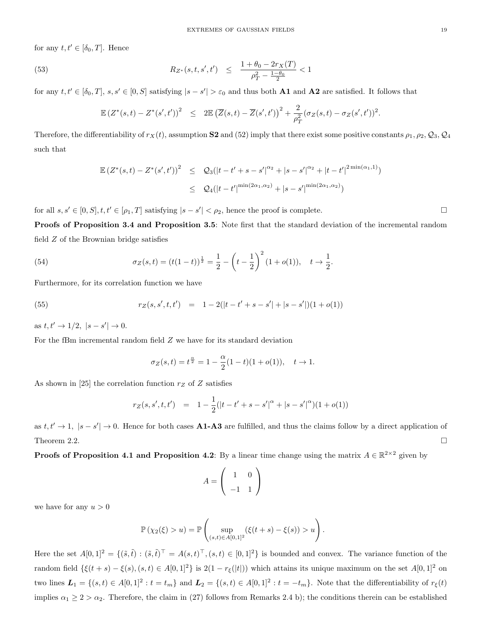for any  $t, t' \in [\delta_0, T]$ . Hence

(53) 
$$
R_{Z^*}(s,t,s',t') \leq \frac{1+\theta_0-2r_X(T)}{\rho_T^2-\frac{1-\theta_0}{2}} < 1
$$

for any  $t, t' \in [\delta_0, T], s, s' \in [0, S]$  satisfying  $|s - s'| > \varepsilon_0$  and thus both **A1** and **A2** are satisfied. It follows that

$$
\mathbb{E}(Z^*(s,t) - Z^*(s',t'))^2 \leq 2\mathbb{E}(\overline{Z}(s,t) - \overline{Z}(s',t'))^2 + \frac{2}{\rho_T^2}(\sigma_Z(s,t) - \sigma_Z(s',t'))^2.
$$

Therefore, the differentiability of  $r_X(t)$ , assumption S2 and (52) imply that there exist some positive constants  $\rho_1, \rho_2, \mathcal{Q}_3, \mathcal{Q}_4$ such that

$$
\mathbb{E} (Z^*(s,t) - Z^*(s',t'))^2 \leq Q_3(|t-t' + s - s'|^{\alpha_2} + |s - s'|^{\alpha_2} + |t - t'|^{2\min(\alpha_1,1)})
$$
  

$$
\leq Q_4(|t - t'|^{\min(2\alpha_1,\alpha_2)} + |s - s'|^{\min(2\alpha_1,\alpha_2)})
$$

for all  $s, s' \in [0, S], t, t' \in [\rho_1, T]$  satisfying  $|s - s'| < \rho_2$ , hence the proof is complete.

Proofs of Proposition 3.4 and Proposition 3.5: Note first that the standard deviation of the incremental random field Z of the Brownian bridge satisfies

(54) 
$$
\sigma_Z(s,t) = (t(1-t))^{\frac{1}{2}} = \frac{1}{2} - \left(t - \frac{1}{2}\right)^2 (1 + o(1)), \quad t \to \frac{1}{2}.
$$

Furthermore, for its correlation function we have

(55) 
$$
r_Z(s, s', t, t') = 1 - 2(|t - t' + s - s'| + |s - s'|)(1 + o(1))
$$

as  $t, t' \to 1/2, |s - s'| \to 0.$ 

For the fBm incremental random field Z we have for its standard deviation

$$
\sigma_Z(s,t) = t^{\frac{\alpha}{2}} = 1 - \frac{\alpha}{2}(1-t)(1+o(1)), \quad t \to 1.
$$

As shown in [25] the correlation function  $r_Z$  of Z satisfies

$$
r_Z(s, s', t, t') = 1 - \frac{1}{2}(|t - t' + s - s'|^{\alpha} + |s - s'|^{\alpha})(1 + o(1))
$$

as  $t, t' \to 1$ ,  $|s - s'| \to 0$ . Hence for both cases **A1-A3** are fulfilled, and thus the claims follow by a direct application of Theorem 2.2.

**Proofs of Proposition 4.1 and Proposition 4.2**: By a linear time change using the matrix  $A \in \mathbb{R}^{2 \times 2}$  given by

$$
A = \left(\begin{array}{cc} 1 & 0 \\ -1 & 1 \end{array}\right)
$$

we have for any  $u > 0$ 

$$
\mathbb{P}(\chi_2(\xi) > u) = \mathbb{P}\left(\sup_{(s,t)\in A[0,1]^2} (\xi(t+s) - \xi(s)) > u\right).
$$

Here the set  $A[0,1]^2 = \{(\tilde{s}, \tilde{t}) : (\tilde{s}, \tilde{t})^\top = A(s,t)^\top, (s,t) \in [0,1]^2\}$  is bounded and convex. The variance function of the random field  $\{\xi(t+s) - \xi(s), (s,t) \in A[0,1]^2\}$  is  $2(1 - r_{\xi}(|t|))$  which attains its unique maximum on the set  $A[0,1]^2$  on two lines  $\mathbf{L}_1 = \{(s,t) \in A[0,1]^2 : t = t_m\}$  and  $\mathbf{L}_2 = \{(s,t) \in A[0,1]^2 : t = -t_m\}$ . Note that the differentiability of  $r_{\xi}(t)$ implies  $\alpha_1 \geq 2 > \alpha_2$ . Therefore, the claim in (27) follows from Remarks 2.4 b); the conditions therein can be established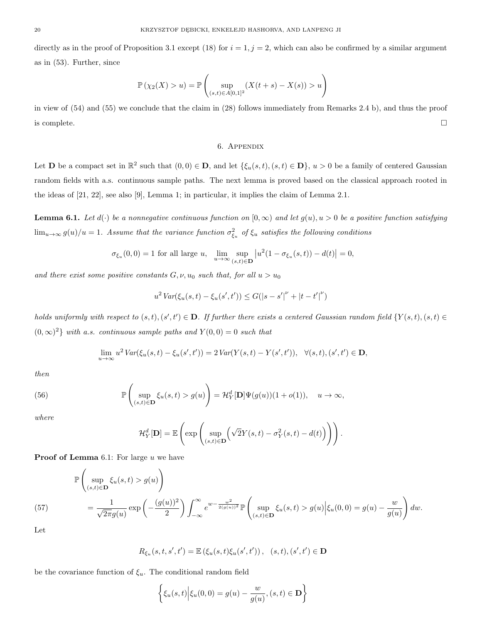directly as in the proof of Proposition 3.1 except (18) for  $i = 1, j = 2$ , which can also be confirmed by a similar argument as in (53). Further, since

$$
\mathbb{P}(\chi_2(X) > u) = \mathbb{P}\left(\sup_{(s,t)\in A[0,1]^2} (X(t+s) - X(s)) > u\right)
$$

in view of (54) and (55) we conclude that the claim in (28) follows immediately from Remarks 2.4 b), and thus the proof is complete.  $\Box$ 

## 6. Appendix

Let **D** be a compact set in  $\mathbb{R}^2$  such that  $(0,0) \in \mathbf{D}$ , and let  $\{\xi_u(s,t), (s,t) \in \mathbf{D}\}\text{, } u > 0$  be a family of centered Gaussian random fields with a.s. continuous sample paths. The next lemma is proved based on the classical approach rooted in the ideas of [21, 22], see also [9], Lemma 1; in particular, it implies the claim of Lemma 2.1.

**Lemma 6.1.** Let  $d(\cdot)$  be a nonnegative continuous function on  $[0, \infty)$  and let  $g(u), u > 0$  be a positive function satisfying  $\lim_{u\to\infty} g(u)/u = 1$ . Assume that the variance function  $\sigma_{\xi_u}^2$  of  $\xi_u$  satisfies the following conditions

$$
\sigma_{\xi_u}(0,0) = 1 \text{ for all large } u, \quad \lim_{u \to \infty} \sup_{(s,t) \in \mathbf{D}} \left| u^2 (1 - \sigma_{\xi_u}(s,t)) - d(t) \right| = 0,
$$

and there exist some positive constants  $G, \nu, u_0$  such that, for all  $u > u_0$ 

$$
u^{2} \operatorname{Var}(\xi_{u}(s,t) - \xi_{u}(s',t')) \leq G(|s - s'|^{\nu} + |t - t'|^{\nu})
$$

holds uniformly with respect to  $(s,t), (s',t') \in \mathbf{D}$ . If further there exists a centered Gaussian random field  $\{Y(s,t), (s,t) \in$  $(0, \infty)^2$  with a.s. continuous sample paths and  $Y(0, 0) = 0$  such that

$$
\lim_{u \to \infty} u^2 \operatorname{Var}(\xi_u(s, t) - \xi_u(s', t')) = 2 \operatorname{Var}(Y(s, t) - Y(s', t')), \quad \forall (s, t), (s', t') \in \mathbf{D},
$$

then

(56) 
$$
\mathbb{P}\left(\sup_{(s,t)\in\mathbf{D}}\xi_u(s,t) > g(u)\right) = \mathcal{H}_Y^d[\mathbf{D}]\Psi(g(u))(1+o(1)), \quad u \to \infty,
$$

where

$$
\mathcal{H}_Y^d[\mathbf{D}] = \mathbb{E}\left(\exp\left(\sup_{(s,t)\in\mathbf{D}}\left(\sqrt{2}Y(s,t)-\sigma_Y^2(s,t)-d(t)\right)\right)\right).
$$

**Proof of Lemma** 6.1: For large  $u$  we have

$$
\mathbb{P}\left(\sup_{(s,t)\in\mathbf{D}}\xi_u(s,t) > g(u)\right)
$$
\n
$$
= \frac{1}{\sqrt{2\pi}g(u)}\exp\left(-\frac{(g(u))^2}{2}\right)\int_{-\infty}^{\infty}e^{w-\frac{w^2}{2(g(u))^2}}\mathbb{P}\left(\sup_{(s,t)\in\mathbf{D}}\xi_u(s,t) > g(u)\Big|\xi_u(0,0) = g(u) - \frac{w}{g(u)}\right)dw.
$$

Let

$$
R_{\xi_u}(s, t, s', t') = \mathbb{E}\left(\xi_u(s, t)\xi_u(s', t')\right), (s, t), (s', t') \in \mathbf{D}
$$

be the covariance function of  $\xi_u$ . The conditional random field

$$
\left\{ \xi_u(s,t) \Big| \xi_u(0,0) = g(u) - \frac{w}{g(u)}, (s,t) \in \mathbf{D} \right\}
$$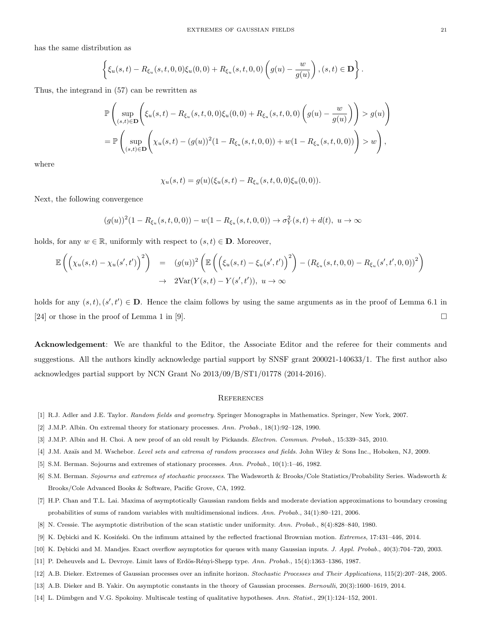has the same distribution as

$$
\left\{ \xi_u(s,t) - R_{\xi_u}(s,t,0,0)\xi_u(0,0) + R_{\xi_u}(s,t,0,0) \left( g(u) - \frac{w}{g(u)} \right), (s,t) \in \mathbf{D} \right\}.
$$

Thus, the integrand in (57) can be rewritten as

$$
\mathbb{P}\left(\sup_{(s,t)\in\mathbf{D}}\left(\xi_u(s,t) - R_{\xi_u}(s,t,0,0)\xi_u(0,0) + R_{\xi_u}(s,t,0,0)\left(g(u) - \frac{w}{g(u)}\right)\right) > g(u)\right)
$$
  
= 
$$
\mathbb{P}\left(\sup_{(s,t)\in\mathbf{D}}\left(\chi_u(s,t) - (g(u))^2(1 - R_{\xi_u}(s,t,0,0)) + w(1 - R_{\xi_u}(s,t,0,0))\right) > w\right),
$$

where

$$
\chi_u(s,t) = g(u)(\xi_u(s,t) - R_{\xi_u}(s,t,0,0)\xi_u(0,0)).
$$

Next, the following convergence

$$
(g(u))^{2}(1 - R_{\xi_{u}}(s,t,0,0)) - w(1 - R_{\xi_{u}}(s,t,0,0)) \rightarrow \sigma_{Y}^{2}(s,t) + d(t), u \rightarrow \infty
$$

holds, for any  $w \in \mathbb{R}$ , uniformly with respect to  $(s, t) \in \mathbf{D}$ . Moreover,

$$
\mathbb{E}\left(\left(\chi_u(s,t) - \chi_u(s',t')\right)^2\right) = (g(u))^2 \left(\mathbb{E}\left(\left(\xi_u(s,t) - \xi_u(s',t')\right)^2\right) - (R_{\xi_u}(s,t,0,0) - R_{\xi_u}(s',t',0,0))^2\right) \n\to 2\text{Var}(Y(s,t) - Y(s',t')), u \to \infty
$$

holds for any  $(s, t), (s', t') \in \mathbf{D}$ . Hence the claim follows by using the same arguments as in the proof of Lemma 6.1 in [24] or those in the proof of Lemma 1 in [9].

Acknowledgement: We are thankful to the Editor, the Associate Editor and the referee for their comments and suggestions. All the authors kindly acknowledge partial support by SNSF grant 200021-140633/1. The first author also acknowledges partial support by NCN Grant No 2013/09/B/ST1/01778 (2014-2016).

#### **REFERENCES**

- [1] R.J. Adler and J.E. Taylor. Random fields and geometry. Springer Monographs in Mathematics. Springer, New York, 2007.
- [2] J.M.P. Albin. On extremal theory for stationary processes. Ann. Probab., 18(1):92–128, 1990.
- [3] J.M.P. Albin and H. Choi. A new proof of an old result by Pickands. Electron. Commun. Probab., 15:339–345, 2010.
- [4] J.M. Azaïs and M. Wschebor. Level sets and extrema of random processes and fields. John Wiley & Sons Inc., Hoboken, NJ, 2009.
- [5] S.M. Berman. Sojourns and extremes of stationary processes. Ann. Probab., 10(1):1–46, 1982.
- [6] S.M. Berman. Sojourns and extremes of stochastic processes. The Wadsworth & Brooks/Cole Statistics/Probability Series. Wadsworth & Brooks/Cole Advanced Books & Software, Pacific Grove, CA, 1992.
- [7] H.P. Chan and T.L. Lai. Maxima of asymptotically Gaussian random fields and moderate deviation approximations to boundary crossing probabilities of sums of random variables with multidimensional indices. Ann. Probab., 34(1):80–121, 2006.
- [8] N. Cressie. The asymptotic distribution of the scan statistic under uniformity. Ann. Probab., 8(4):828–840, 1980.
- [9] K. Dębicki and K. Kosiński. On the infimum attained by the reflected fractional Brownian motion. *Extremes*, 17:431–446, 2014.
- [10] K. Debicki and M. Mandjes. Exact overflow asymptotics for queues with many Gaussian inputs. *J. Appl. Probab.*, 40(3):704–720, 2003.
- [11] P. Deheuvels and L. Devroye. Limit laws of Erdös-Rényi-Shepp type. Ann. Probab., 15(4):1363–1386, 1987.
- [12] A.B. Dieker. Extremes of Gaussian processes over an infinite horizon. Stochastic Processes and Their Applications, 115(2):207–248, 2005.
- [13] A.B. Dieker and B. Yakir. On asymptotic constants in the theory of Gaussian processes. Bernoulli, 20(3):1600–1619, 2014.
- [14] L. Dümbgen and V.G. Spokoiny. Multiscale testing of qualitative hypotheses. Ann. Statist., 29(1):124–152, 2001.